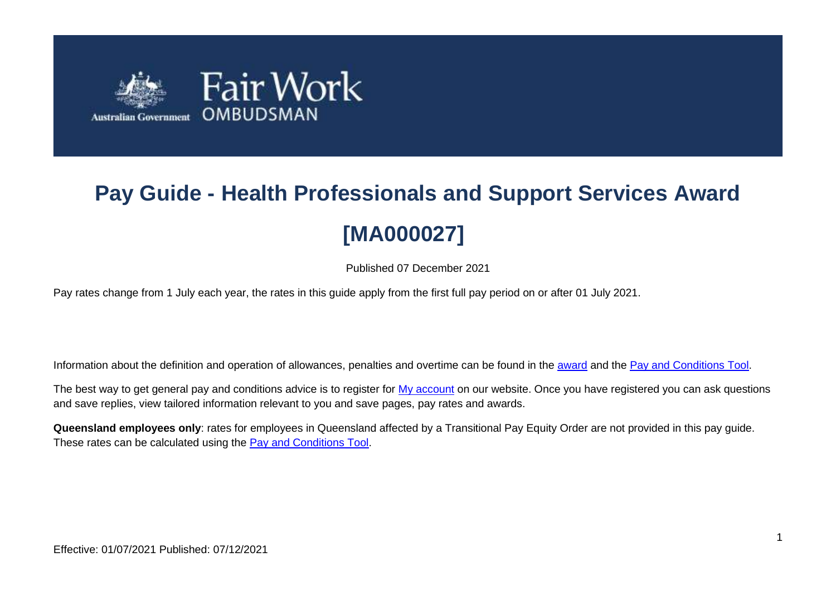

# **Pay Guide - Health Professionals and Support Services Award [MA000027]**

Published 07 December 2021

Pay rates change from 1 July each year, the rates in this guide apply from the first full pay period on or after 01 July 2021.

Information about the definition and operation of allowances, penalties and overtime can be found in the [award](https://www.fairwork.gov.au/awards-and-agreements/awards/list-of-awards) and the [Pay and Conditions Tool.](https://calculate.fairwork.gov.au/)

The best way to get general pay and conditions advice is to register for [My account](https://www.fairwork.gov.au/my-account/registerpage.aspx) on our website. Once you have registered you can ask questions and save replies, view tailored information relevant to you and save pages, pay rates and awards.

**Queensland employees only**: rates for employees in Queensland affected by a Transitional Pay Equity Order are not provided in this pay guide. These rates can be calculated using the **Pay and Conditions Tool**.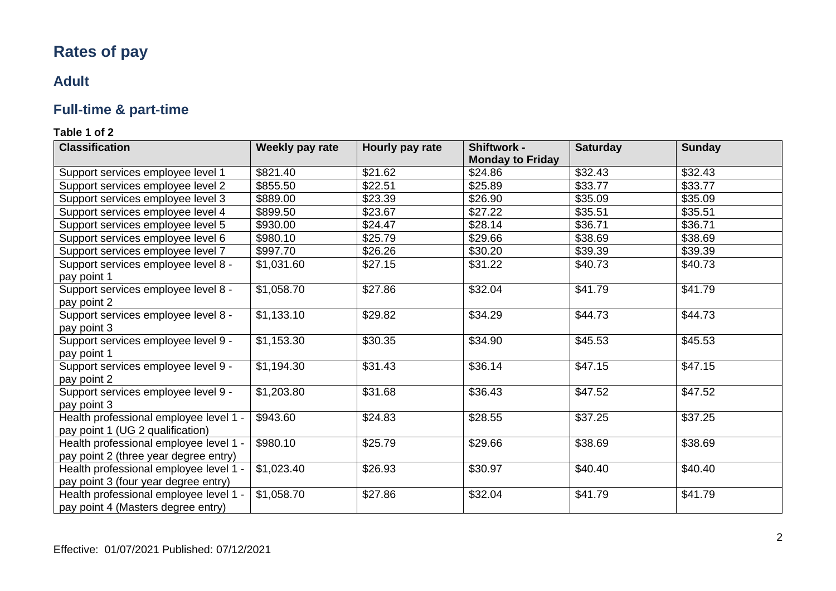# **Rates of pay**

### **Adult**

# **Full-time & part-time**

| <b>Classification</b>                                                           | Weekly pay rate | Hourly pay rate | Shiftwork -             | <b>Saturday</b> | <b>Sunday</b> |
|---------------------------------------------------------------------------------|-----------------|-----------------|-------------------------|-----------------|---------------|
|                                                                                 |                 |                 | <b>Monday to Friday</b> |                 |               |
| Support services employee level 1                                               | \$821.40        | \$21.62         | \$24.86                 | \$32.43         | \$32.43       |
| Support services employee level 2                                               | \$855.50        | \$22.51         | \$25.89                 | \$33.77         | \$33.77       |
| Support services employee level 3                                               | \$889.00        | \$23.39         | \$26.90                 | \$35.09         | \$35.09       |
| Support services employee level 4                                               | \$899.50        | \$23.67         | \$27.22                 | \$35.51         | \$35.51       |
| Support services employee level 5                                               | \$930.00        | \$24.47         | \$28.14                 | \$36.71         | \$36.71       |
| Support services employee level 6                                               | \$980.10        | \$25.79         | \$29.66                 | \$38.69         | \$38.69       |
| Support services employee level 7                                               | \$997.70        | \$26.26         | \$30.20                 | \$39.39         | \$39.39       |
| Support services employee level 8 -<br>pay point 1                              | \$1,031.60      | \$27.15         | \$31.22                 | \$40.73         | \$40.73       |
| Support services employee level 8 -<br>pay point 2                              | \$1,058.70      | \$27.86         | \$32.04                 | \$41.79         | \$41.79       |
| Support services employee level 8 -<br>pay point 3                              | \$1,133.10      | \$29.82         | \$34.29                 | \$44.73         | \$44.73       |
| Support services employee level 9 -<br>pay point 1                              | \$1,153.30      | \$30.35         | \$34.90                 | \$45.53         | \$45.53       |
| Support services employee level 9 -<br>pay point 2                              | \$1,194.30      | \$31.43         | \$36.14                 | \$47.15         | \$47.15       |
| Support services employee level 9 -<br>pay point 3                              | \$1,203.80      | \$31.68         | \$36.43                 | \$47.52         | \$47.52       |
| Health professional employee level 1 -<br>pay point 1 (UG 2 qualification)      | \$943.60        | \$24.83         | \$28.55                 | \$37.25         | \$37.25       |
| Health professional employee level 1 -<br>pay point 2 (three year degree entry) | \$980.10        | \$25.79         | \$29.66                 | \$38.69         | \$38.69       |
| Health professional employee level 1 -<br>pay point 3 (four year degree entry)  | \$1,023.40      | \$26.93         | \$30.97                 | \$40.40         | \$40.40       |
| Health professional employee level 1 -<br>pay point 4 (Masters degree entry)    | \$1,058.70      | \$27.86         | \$32.04                 | \$41.79         | \$41.79       |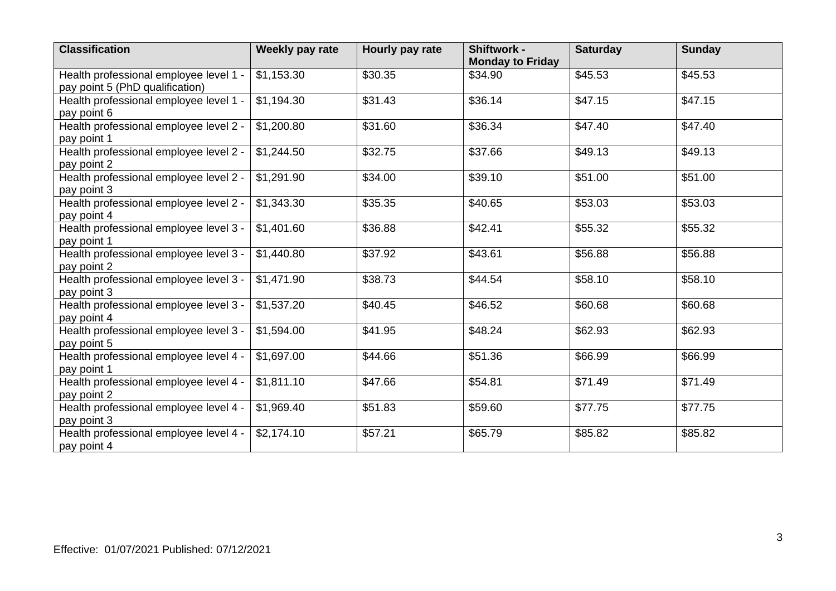| <b>Classification</b>                                                     | Weekly pay rate | Hourly pay rate | Shiftwork -<br><b>Monday to Friday</b> | <b>Saturday</b> | <b>Sunday</b> |
|---------------------------------------------------------------------------|-----------------|-----------------|----------------------------------------|-----------------|---------------|
| Health professional employee level 1 -<br>pay point 5 (PhD qualification) | \$1,153.30      | \$30.35         | \$34.90                                | \$45.53         | \$45.53       |
| Health professional employee level 1 -<br>pay point 6                     | \$1,194.30      | \$31.43         | \$36.14                                | \$47.15         | \$47.15       |
| Health professional employee level 2 -<br>pay point 1                     | \$1,200.80      | \$31.60         | \$36.34                                | \$47.40         | \$47.40       |
| Health professional employee level 2 -<br>pay point 2                     | \$1,244.50      | \$32.75         | \$37.66                                | \$49.13         | \$49.13       |
| Health professional employee level 2 -<br>pay point 3                     | \$1,291.90      | \$34.00         | \$39.10                                | \$51.00         | \$51.00       |
| Health professional employee level 2 -<br>pay point 4                     | \$1,343.30      | \$35.35         | \$40.65                                | \$53.03         | \$53.03       |
| Health professional employee level 3 -<br>pay point 1                     | \$1,401.60      | \$36.88         | \$42.41                                | \$55.32         | \$55.32       |
| Health professional employee level 3 -<br>pay point 2                     | \$1,440.80      | \$37.92         | \$43.61                                | \$56.88         | \$56.88       |
| Health professional employee level 3 -<br>pay point 3                     | \$1,471.90      | \$38.73         | \$44.54                                | \$58.10         | \$58.10       |
| Health professional employee level 3 -<br>pay point 4                     | \$1,537.20      | \$40.45         | \$46.52                                | \$60.68         | \$60.68       |
| Health professional employee level 3 -<br>pay point 5                     | \$1,594.00      | \$41.95         | \$48.24                                | \$62.93         | \$62.93       |
| Health professional employee level 4 -<br>pay point 1                     | \$1,697.00      | \$44.66         | \$51.36                                | \$66.99         | \$66.99       |
| Health professional employee level 4 -<br>pay point 2                     | \$1,811.10      | \$47.66         | \$54.81                                | \$71.49         | \$71.49       |
| Health professional employee level 4 -<br>pay point 3                     | \$1,969.40      | \$51.83         | \$59.60                                | \$77.75         | \$77.75       |
| Health professional employee level 4 -<br>pay point 4                     | \$2,174.10      | \$57.21         | \$65.79                                | \$85.82         | \$85.82       |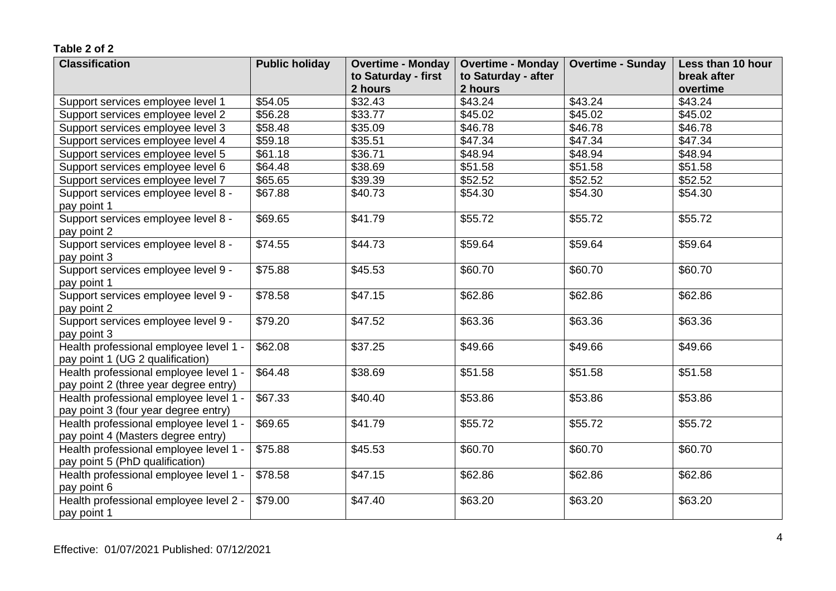| <b>Classification</b>                                                     | <b>Public holiday</b> | <b>Overtime - Monday</b> | <b>Overtime - Monday</b> | <b>Overtime - Sunday</b> | Less than 10 hour |
|---------------------------------------------------------------------------|-----------------------|--------------------------|--------------------------|--------------------------|-------------------|
|                                                                           |                       | to Saturday - first      | to Saturday - after      |                          | break after       |
|                                                                           |                       | 2 hours                  | 2 hours                  |                          | overtime          |
| Support services employee level 1                                         | \$54.05               | \$32.43                  | \$43.24                  | \$43.24                  | \$43.24           |
| Support services employee level 2                                         | \$56.28               | \$33.77                  | \$45.02                  | \$45.02                  | \$45.02           |
| Support services employee level 3                                         | \$58.48               | \$35.09                  | \$46.78                  | \$46.78                  | \$46.78           |
| Support services employee level 4                                         | \$59.18               | \$35.51                  | \$47.34                  | \$47.34                  | \$47.34           |
| Support services employee level 5                                         | \$61.18               | \$36.71                  | \$48.94                  | \$48.94                  | \$48.94           |
| Support services employee level 6                                         | \$64.48               | \$38.69                  | \$51.58                  | \$51.58                  | \$51.58           |
| Support services employee level 7                                         | \$65.65               | \$39.39                  | \$52.52                  | \$52.52                  | \$52.52           |
| Support services employee level 8 -<br>pay point 1                        | \$67.88               | \$40.73                  | \$54.30                  | \$54.30                  | \$54.30           |
| Support services employee level 8 -                                       | \$69.65               | \$41.79                  | \$55.72                  | \$55.72                  | \$55.72           |
| pay point 2                                                               |                       |                          |                          |                          |                   |
| Support services employee level 8 -                                       | \$74.55               | \$44.73                  | \$59.64                  | \$59.64                  | \$59.64           |
| pay point 3                                                               |                       |                          |                          |                          |                   |
| Support services employee level 9 -                                       | \$75.88               | \$45.53                  | \$60.70                  | \$60.70                  | \$60.70           |
| pay point 1                                                               |                       |                          |                          |                          |                   |
| Support services employee level 9 -                                       | \$78.58               | \$47.15                  | \$62.86                  | \$62.86                  | \$62.86           |
| pay point 2                                                               |                       |                          |                          |                          |                   |
| Support services employee level 9 -                                       | \$79.20               | \$47.52                  | \$63.36                  | \$63.36                  | \$63.36           |
| pay point 3                                                               |                       |                          |                          |                          |                   |
| Health professional employee level 1 -                                    | \$62.08               | \$37.25                  | \$49.66                  | \$49.66                  | \$49.66           |
| pay point 1 (UG 2 qualification)                                          |                       |                          |                          |                          |                   |
| Health professional employee level 1 -                                    | \$64.48               | \$38.69                  | \$51.58                  | \$51.58                  | \$51.58           |
| pay point 2 (three year degree entry)                                     |                       |                          |                          |                          |                   |
| Health professional employee level 1 -                                    | \$67.33               | \$40.40                  | \$53.86                  | \$53.86                  | \$53.86           |
| pay point 3 (four year degree entry)                                      |                       |                          |                          |                          |                   |
| Health professional employee level 1 -                                    | \$69.65               | \$41.79                  | \$55.72                  | \$55.72                  | \$55.72           |
| pay point 4 (Masters degree entry)                                        |                       |                          |                          |                          |                   |
| Health professional employee level 1 -<br>pay point 5 (PhD qualification) | \$75.88               | \$45.53                  | \$60.70                  | \$60.70                  | \$60.70           |
| Health professional employee level 1 -                                    | \$78.58               | \$47.15                  | \$62.86                  | \$62.86                  | \$62.86           |
| pay point 6                                                               |                       |                          |                          |                          |                   |
| Health professional employee level 2 -                                    | \$79.00               | \$47.40                  | \$63.20                  | \$63.20                  | \$63.20           |
| pay point 1                                                               |                       |                          |                          |                          |                   |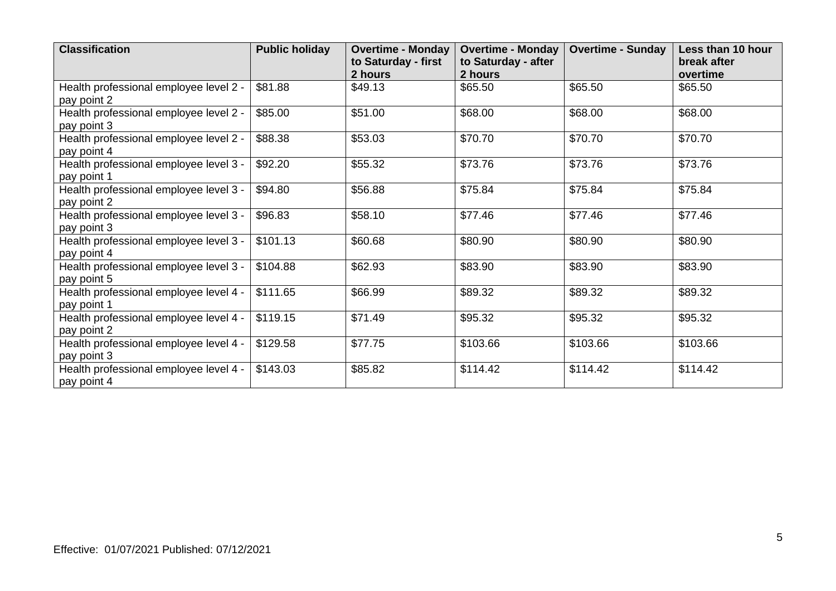| <b>Classification</b>                                 | <b>Public holiday</b> | <b>Overtime - Monday</b><br>to Saturday - first<br>2 hours | <b>Overtime - Monday</b><br>to Saturday - after<br>2 hours | <b>Overtime - Sunday</b> | Less than 10 hour<br>break after<br>overtime |
|-------------------------------------------------------|-----------------------|------------------------------------------------------------|------------------------------------------------------------|--------------------------|----------------------------------------------|
| Health professional employee level 2 -<br>pay point 2 | \$81.88               | \$49.13                                                    | \$65.50                                                    | \$65.50                  | \$65.50                                      |
| Health professional employee level 2 -<br>pay point 3 | \$85.00               | \$51.00                                                    | \$68.00                                                    | \$68.00                  | \$68.00                                      |
| Health professional employee level 2 -<br>pay point 4 | \$88.38               | \$53.03                                                    | \$70.70                                                    | \$70.70                  | \$70.70                                      |
| Health professional employee level 3 -<br>pay point 1 | \$92.20               | \$55.32                                                    | \$73.76                                                    | \$73.76                  | \$73.76                                      |
| Health professional employee level 3 -<br>pay point 2 | \$94.80               | \$56.88                                                    | \$75.84                                                    | \$75.84                  | \$75.84                                      |
| Health professional employee level 3 -<br>pay point 3 | \$96.83               | \$58.10                                                    | \$77.46                                                    | \$77.46                  | \$77.46                                      |
| Health professional employee level 3 -<br>pay point 4 | \$101.13              | \$60.68                                                    | \$80.90                                                    | \$80.90                  | \$80.90                                      |
| Health professional employee level 3 -<br>pay point 5 | \$104.88              | \$62.93                                                    | \$83.90                                                    | \$83.90                  | \$83.90                                      |
| Health professional employee level 4 -<br>pay point 1 | \$111.65              | \$66.99                                                    | \$89.32                                                    | \$89.32                  | \$89.32                                      |
| Health professional employee level 4 -<br>pay point 2 | \$119.15              | \$71.49                                                    | \$95.32                                                    | \$95.32                  | \$95.32                                      |
| Health professional employee level 4 -<br>pay point 3 | \$129.58              | \$77.75                                                    | \$103.66                                                   | \$103.66                 | \$103.66                                     |
| Health professional employee level 4 -<br>pay point 4 | \$143.03              | \$85.82                                                    | \$114.42                                                   | \$114.42                 | \$114.42                                     |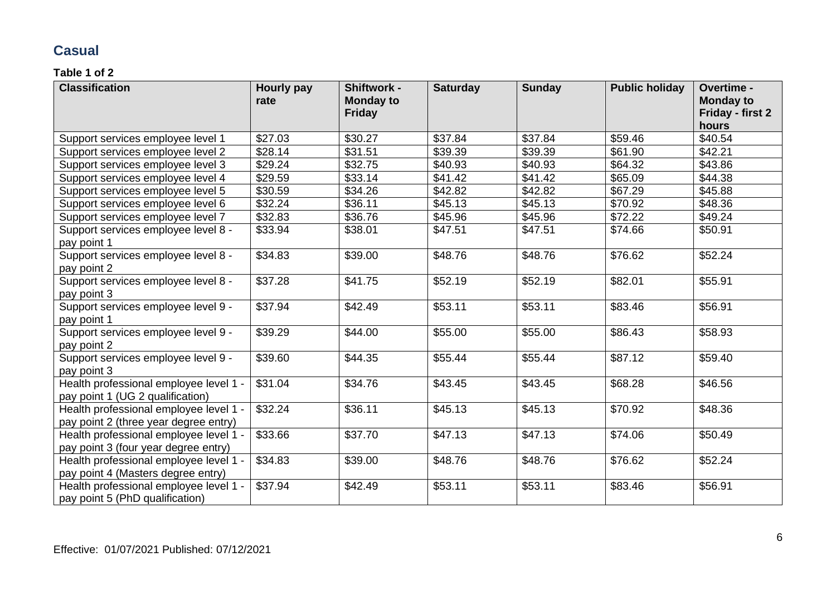### **Casual**

| <b>Classification</b>                  | <b>Hourly pay</b><br>rate | Shiftwork -<br><b>Monday to</b> | <b>Saturday</b> | <b>Sunday</b> | <b>Public holiday</b> | Overtime -<br><b>Monday to</b> |
|----------------------------------------|---------------------------|---------------------------------|-----------------|---------------|-----------------------|--------------------------------|
|                                        |                           | <b>Friday</b>                   |                 |               |                       | Friday - first 2               |
|                                        |                           |                                 |                 |               |                       | hours                          |
| Support services employee level 1      | \$27.03                   | \$30.27                         | \$37.84         | \$37.84       | \$59.46               | \$40.54                        |
| Support services employee level 2      | \$28.14                   | \$31.51                         | \$39.39         | \$39.39       | \$61.90               | \$42.21                        |
| Support services employee level 3      | \$29.24                   | \$32.75                         | \$40.93         | \$40.93       | \$64.32               | \$43.86                        |
| Support services employee level 4      | \$29.59                   | \$33.14                         | \$41.42         | \$41.42       | \$65.09               | \$44.38                        |
| Support services employee level 5      | \$30.59                   | \$34.26                         | \$42.82         | \$42.82       | \$67.29               | \$45.88                        |
| Support services employee level 6      | \$32.24                   | \$36.11                         | \$45.13         | \$45.13       | \$70.92               | \$48.36                        |
| Support services employee level 7      | \$32.83                   | \$36.76                         | \$45.96         | \$45.96       | \$72.22               | \$49.24                        |
| Support services employee level 8 -    | \$33.94                   | \$38.01                         | \$47.51         | \$47.51       | \$74.66               | \$50.91                        |
| pay point 1                            |                           |                                 |                 |               |                       |                                |
| Support services employee level 8 -    | \$34.83                   | \$39.00                         | \$48.76         | \$48.76       | \$76.62               | \$52.24                        |
| pay point 2                            |                           |                                 |                 |               |                       |                                |
| Support services employee level 8 -    | \$37.28                   | \$41.75                         | \$52.19         | \$52.19       | \$82.01               | \$55.91                        |
| pay point 3                            |                           |                                 |                 |               |                       |                                |
| Support services employee level 9 -    | \$37.94                   | \$42.49                         | \$53.11         | \$53.11       | \$83.46               | \$56.91                        |
| pay point 1                            |                           |                                 |                 |               |                       |                                |
| Support services employee level 9 -    | \$39.29                   | \$44.00                         | \$55.00         | \$55.00       | \$86.43               | \$58.93                        |
| pay point 2                            |                           |                                 |                 |               |                       |                                |
| Support services employee level 9 -    | \$39.60                   | \$44.35                         | \$55.44         | \$55.44       | \$87.12               | \$59.40                        |
| pay point 3                            |                           |                                 |                 |               |                       |                                |
| Health professional employee level 1 - | \$31.04                   | \$34.76                         | \$43.45         | \$43.45       | \$68.28               | \$46.56                        |
| pay point 1 (UG 2 qualification)       |                           |                                 |                 |               |                       |                                |
| Health professional employee level 1 - | \$32.24                   | \$36.11                         | \$45.13         | \$45.13       | \$70.92               | \$48.36                        |
| pay point 2 (three year degree entry)  |                           |                                 |                 |               |                       |                                |
| Health professional employee level 1 - | \$33.66                   | \$37.70                         | \$47.13         | \$47.13       | \$74.06               | \$50.49                        |
| pay point 3 (four year degree entry)   |                           |                                 |                 |               |                       |                                |
| Health professional employee level 1 - | \$34.83                   | \$39.00                         | \$48.76         | \$48.76       | \$76.62               | \$52.24                        |
| pay point 4 (Masters degree entry)     |                           |                                 |                 |               |                       |                                |
| Health professional employee level 1 - | \$37.94                   | \$42.49                         | \$53.11         | \$53.11       | \$83.46               | \$56.91                        |
| pay point 5 (PhD qualification)        |                           |                                 |                 |               |                       |                                |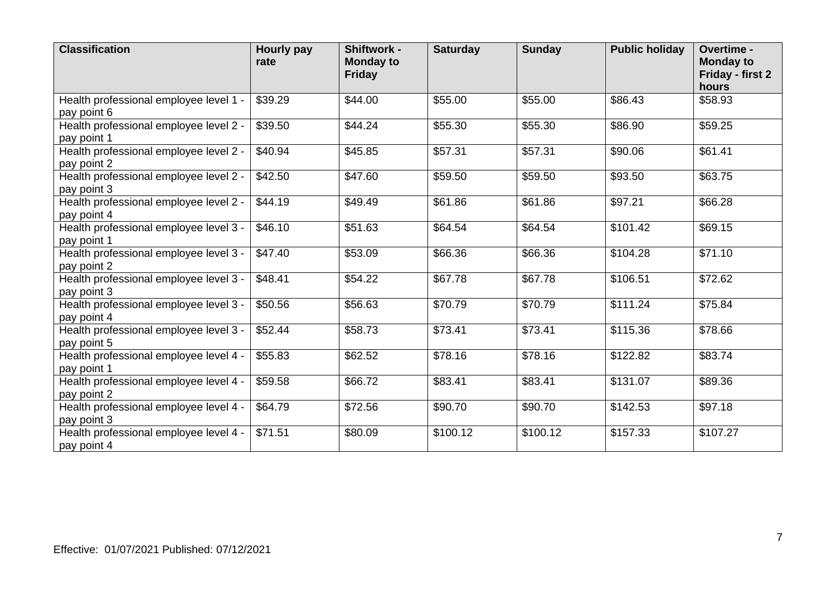| <b>Classification</b>                                 | Hourly pay<br>rate | Shiftwork -<br><b>Monday to</b><br><b>Friday</b> | <b>Saturday</b> | <b>Sunday</b> | <b>Public holiday</b> | <b>Overtime -</b><br><b>Monday to</b><br>Friday - first 2<br>hours |
|-------------------------------------------------------|--------------------|--------------------------------------------------|-----------------|---------------|-----------------------|--------------------------------------------------------------------|
| Health professional employee level 1 -<br>pay point 6 | \$39.29            | \$44.00                                          | \$55.00         | \$55.00       | \$86.43               | \$58.93                                                            |
| Health professional employee level 2 -<br>pay point 1 | \$39.50            | \$44.24                                          | \$55.30         | \$55.30       | \$86.90               | \$59.25                                                            |
| Health professional employee level 2 -<br>pay point 2 | \$40.94            | \$45.85                                          | \$57.31         | \$57.31       | \$90.06               | \$61.41                                                            |
| Health professional employee level 2 -<br>pay point 3 | \$42.50            | \$47.60                                          | \$59.50         | \$59.50       | \$93.50               | \$63.75                                                            |
| Health professional employee level 2 -<br>pay point 4 | \$44.19            | \$49.49                                          | \$61.86         | \$61.86       | \$97.21               | \$66.28                                                            |
| Health professional employee level 3 -<br>pay point 1 | \$46.10            | \$51.63                                          | \$64.54         | \$64.54       | \$101.42              | \$69.15                                                            |
| Health professional employee level 3 -<br>pay point 2 | \$47.40            | \$53.09                                          | \$66.36         | \$66.36       | \$104.28              | \$71.10                                                            |
| Health professional employee level 3 -<br>pay point 3 | \$48.41            | \$54.22                                          | \$67.78         | \$67.78       | \$106.51              | \$72.62                                                            |
| Health professional employee level 3 -<br>pay point 4 | \$50.56            | \$56.63                                          | \$70.79         | \$70.79       | \$111.24              | \$75.84                                                            |
| Health professional employee level 3 -<br>pay point 5 | \$52.44            | \$58.73                                          | \$73.41         | \$73.41       | \$115.36              | \$78.66                                                            |
| Health professional employee level 4 -<br>pay point 1 | \$55.83            | \$62.52                                          | \$78.16         | \$78.16       | $\overline{$}122.82$  | \$83.74                                                            |
| Health professional employee level 4 -<br>pay point 2 | \$59.58            | \$66.72                                          | \$83.41         | \$83.41       | \$131.07              | \$89.36                                                            |
| Health professional employee level 4 -<br>pay point 3 | \$64.79            | \$72.56                                          | \$90.70         | \$90.70       | \$142.53              | \$97.18                                                            |
| Health professional employee level 4 -<br>pay point 4 | \$71.51            | \$80.09                                          | \$100.12        | \$100.12      | \$157.33              | \$107.27                                                           |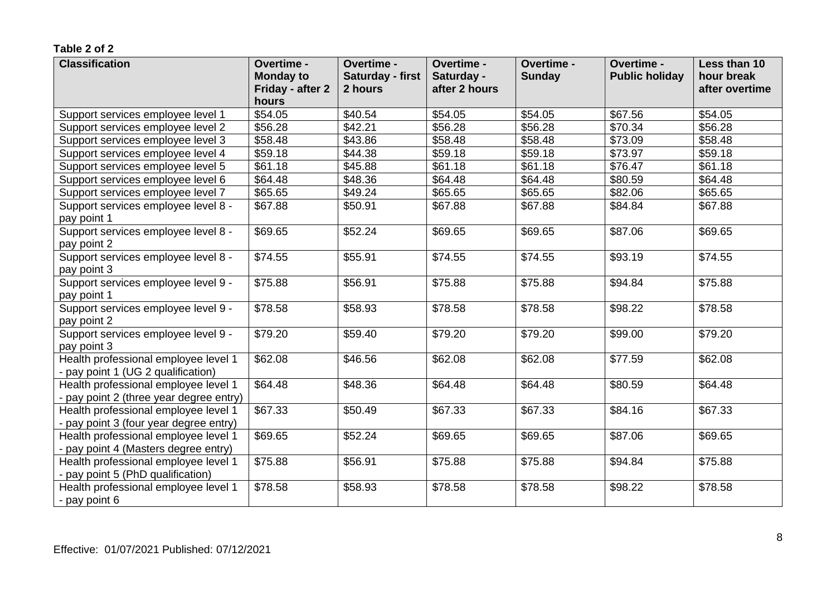| <b>Classification</b>                   | Overtime -       | Overtime -       | Overtime -    | Overtime -    | Overtime -            | Less than 10   |
|-----------------------------------------|------------------|------------------|---------------|---------------|-----------------------|----------------|
|                                         | <b>Monday to</b> | Saturday - first | Saturday -    | <b>Sunday</b> | <b>Public holiday</b> | hour break     |
|                                         | Friday - after 2 | 2 hours          | after 2 hours |               |                       | after overtime |
|                                         | hours            |                  |               |               |                       |                |
| Support services employee level 1       | \$54.05          | \$40.54          | \$54.05       | \$54.05       | \$67.56               | \$54.05        |
| Support services employee level 2       | \$56.28          | \$42.21          | \$56.28       | \$56.28       | \$70.34               | \$56.28        |
| Support services employee level 3       | \$58.48          | \$43.86          | \$58.48       | \$58.48       | \$73.09               | \$58.48        |
| Support services employee level 4       | \$59.18          | \$44.38          | \$59.18       | \$59.18       | \$73.97               | \$59.18        |
| Support services employee level 5       | \$61.18          | \$45.88          | \$61.18       | \$61.18       | \$76.47               | \$61.18        |
| Support services employee level 6       | \$64.48          | \$48.36          | \$64.48       | \$64.48       | \$80.59               | \$64.48        |
| Support services employee level 7       | \$65.65          | \$49.24          | \$65.65       | \$65.65       | \$82.06               | \$65.65        |
| Support services employee level 8 -     | \$67.88          | \$50.91          | \$67.88       | \$67.88       | \$84.84               | \$67.88        |
| pay point 1                             |                  |                  |               |               |                       |                |
| Support services employee level 8 -     | \$69.65          | \$52.24          | \$69.65       | \$69.65       | \$87.06               | \$69.65        |
| pay point 2                             |                  |                  |               |               |                       |                |
| Support services employee level 8 -     | \$74.55          | \$55.91          | \$74.55       | \$74.55       | \$93.19               | \$74.55        |
| pay point 3                             |                  |                  |               |               |                       |                |
| Support services employee level 9 -     | \$75.88          | \$56.91          | \$75.88       | \$75.88       | \$94.84               | \$75.88        |
| pay point 1                             |                  |                  |               |               |                       |                |
| Support services employee level 9 -     | \$78.58          | \$58.93          | \$78.58       | \$78.58       | \$98.22               | \$78.58        |
| pay point 2                             |                  |                  |               |               |                       |                |
| Support services employee level 9 -     | \$79.20          | \$59.40          | \$79.20       | \$79.20       | \$99.00               | \$79.20        |
| pay point 3                             |                  |                  |               |               |                       |                |
| Health professional employee level 1    | \$62.08          | \$46.56          | \$62.08       | \$62.08       | \$77.59               | \$62.08        |
| - pay point 1 (UG 2 qualification)      |                  |                  |               |               |                       |                |
| Health professional employee level 1    | \$64.48          | \$48.36          | \$64.48       | \$64.48       | \$80.59               | \$64.48        |
| - pay point 2 (three year degree entry) |                  |                  |               |               |                       |                |
| Health professional employee level 1    | \$67.33          | \$50.49          | \$67.33       | \$67.33       | \$84.16               | \$67.33        |
| - pay point 3 (four year degree entry)  |                  |                  |               |               |                       |                |
| Health professional employee level 1    | \$69.65          | \$52.24          | \$69.65       | \$69.65       | \$87.06               | \$69.65        |
| - pay point 4 (Masters degree entry)    |                  |                  |               |               |                       |                |
| Health professional employee level 1    | \$75.88          | \$56.91          | \$75.88       | \$75.88       | \$94.84               | \$75.88        |
| - pay point 5 (PhD qualification)       |                  |                  |               |               |                       |                |
| Health professional employee level 1    | \$78.58          | \$58.93          | \$78.58       | \$78.58       | \$98.22               | \$78.58        |
| - pay point 6                           |                  |                  |               |               |                       |                |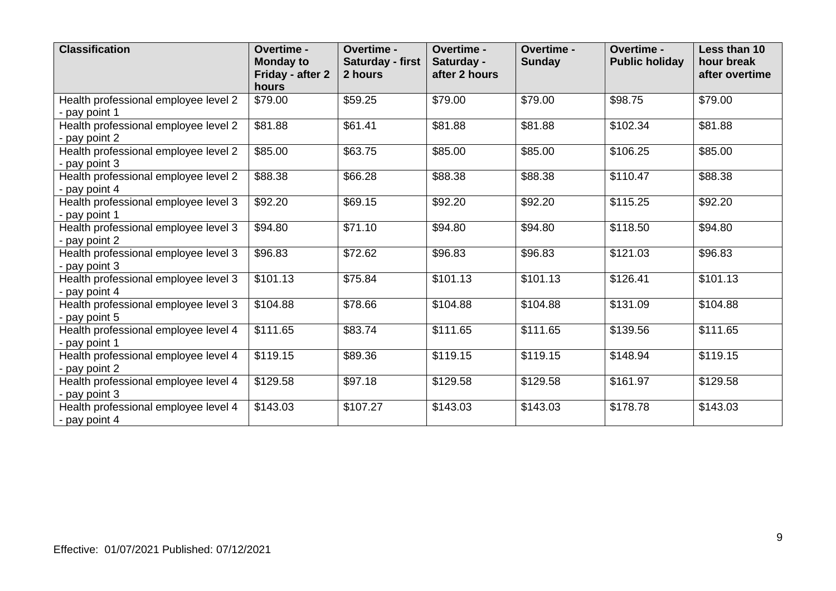| <b>Classification</b>                                 | Overtime -<br><b>Monday to</b><br>Friday - after 2<br>hours | <b>Overtime -</b><br>Saturday - first<br>2 hours | Overtime -<br>Saturday -<br>after 2 hours | Overtime -<br><b>Sunday</b> | Overtime -<br><b>Public holiday</b> | Less than 10<br>hour break<br>after overtime |
|-------------------------------------------------------|-------------------------------------------------------------|--------------------------------------------------|-------------------------------------------|-----------------------------|-------------------------------------|----------------------------------------------|
| Health professional employee level 2<br>- pay point 1 | \$79.00                                                     | \$59.25                                          | \$79.00                                   | \$79.00                     | \$98.75                             | \$79.00                                      |
| Health professional employee level 2<br>- pay point 2 | \$81.88                                                     | \$61.41                                          | \$81.88                                   | \$81.88                     | \$102.34                            | \$81.88                                      |
| Health professional employee level 2<br>- pay point 3 | \$85.00                                                     | \$63.75                                          | \$85.00                                   | \$85.00                     | \$106.25                            | \$85.00                                      |
| Health professional employee level 2<br>- pay point 4 | \$88.38                                                     | \$66.28                                          | \$88.38                                   | \$88.38                     | \$110.47                            | \$88.38                                      |
| Health professional employee level 3<br>- pay point 1 | \$92.20                                                     | \$69.15                                          | \$92.20                                   | \$92.20                     | \$115.25                            | \$92.20                                      |
| Health professional employee level 3<br>- pay point 2 | \$94.80                                                     | \$71.10                                          | \$94.80                                   | \$94.80                     | \$118.50                            | \$94.80                                      |
| Health professional employee level 3<br>- pay point 3 | \$96.83                                                     | \$72.62                                          | \$96.83                                   | \$96.83                     | \$121.03                            | \$96.83                                      |
| Health professional employee level 3<br>- pay point 4 | \$101.13                                                    | \$75.84                                          | \$101.13                                  | \$101.13                    | \$126.41                            | \$101.13                                     |
| Health professional employee level 3<br>- pay point 5 | \$104.88                                                    | \$78.66                                          | \$104.88                                  | \$104.88                    | \$131.09                            | \$104.88                                     |
| Health professional employee level 4<br>- pay point 1 | \$111.65                                                    | \$83.74                                          | \$111.65                                  | \$111.65                    | \$139.56                            | \$111.65                                     |
| Health professional employee level 4<br>- pay point 2 | \$119.15                                                    | \$89.36                                          | \$119.15                                  | \$119.15                    | \$148.94                            | \$119.15                                     |
| Health professional employee level 4<br>- pay point 3 | \$129.58                                                    | \$97.18                                          | \$129.58                                  | \$129.58                    | \$161.97                            | \$129.58                                     |
| Health professional employee level 4<br>- pay point 4 | \$143.03                                                    | \$107.27                                         | \$143.03                                  | \$143.03                    | \$178.78                            | \$143.03                                     |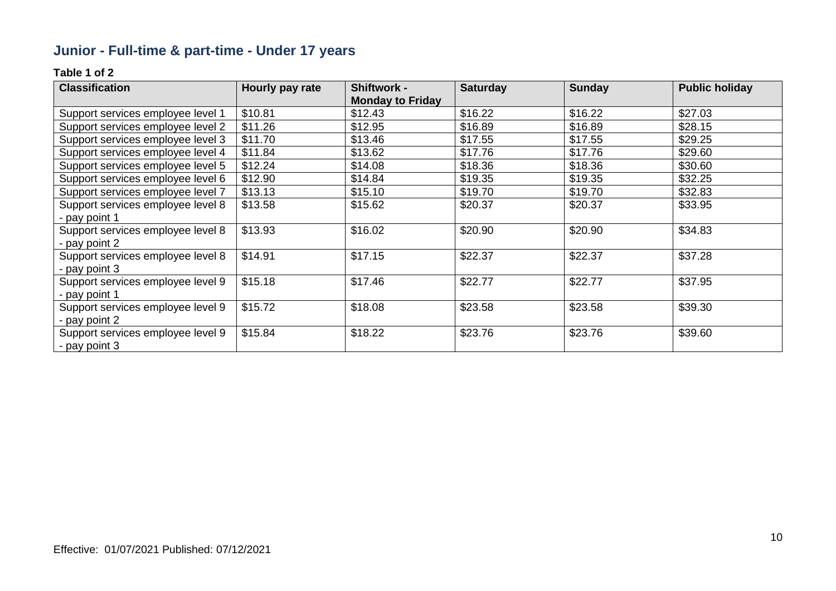# **Junior - Full-time & part-time - Under 17 years**

| <b>Classification</b>             | Hourly pay rate | <b>Shiftwork -</b>      | <b>Saturday</b> | <b>Sunday</b> | <b>Public holiday</b> |
|-----------------------------------|-----------------|-------------------------|-----------------|---------------|-----------------------|
|                                   |                 | <b>Monday to Friday</b> |                 |               |                       |
| Support services employee level 1 | \$10.81         | \$12.43                 | \$16.22         | \$16.22       | \$27.03               |
| Support services employee level 2 | \$11.26         | \$12.95                 | \$16.89         | \$16.89       | \$28.15               |
| Support services employee level 3 | \$11.70         | \$13.46                 | \$17.55         | \$17.55       | \$29.25               |
| Support services employee level 4 | \$11.84         | \$13.62                 | \$17.76         | \$17.76       | \$29.60               |
| Support services employee level 5 | \$12.24         | \$14.08                 | \$18.36         | \$18.36       | \$30.60               |
| Support services employee level 6 | \$12.90         | \$14.84                 | \$19.35         | \$19.35       | \$32.25               |
| Support services employee level 7 | \$13.13         | \$15.10                 | \$19.70         | \$19.70       | \$32.83               |
| Support services employee level 8 | \$13.58         | \$15.62                 | \$20.37         | \$20.37       | \$33.95               |
| - pay point 1                     |                 |                         |                 |               |                       |
| Support services employee level 8 | \$13.93         | \$16.02                 | \$20.90         | \$20.90       | \$34.83               |
| - pay point 2                     |                 |                         |                 |               |                       |
| Support services employee level 8 | \$14.91         | \$17.15                 | \$22.37         | \$22.37       | \$37.28               |
| - pay point 3                     |                 |                         |                 |               |                       |
| Support services employee level 9 | \$15.18         | \$17.46                 | \$22.77         | \$22.77       | \$37.95               |
| - pay point 1                     |                 |                         |                 |               |                       |
| Support services employee level 9 | \$15.72         | \$18.08                 | \$23.58         | \$23.58       | \$39.30               |
| - pay point 2                     |                 |                         |                 |               |                       |
| Support services employee level 9 | \$15.84         | \$18.22                 | \$23.76         | \$23.76       | \$39.60               |
| l - pay point 3                   |                 |                         |                 |               |                       |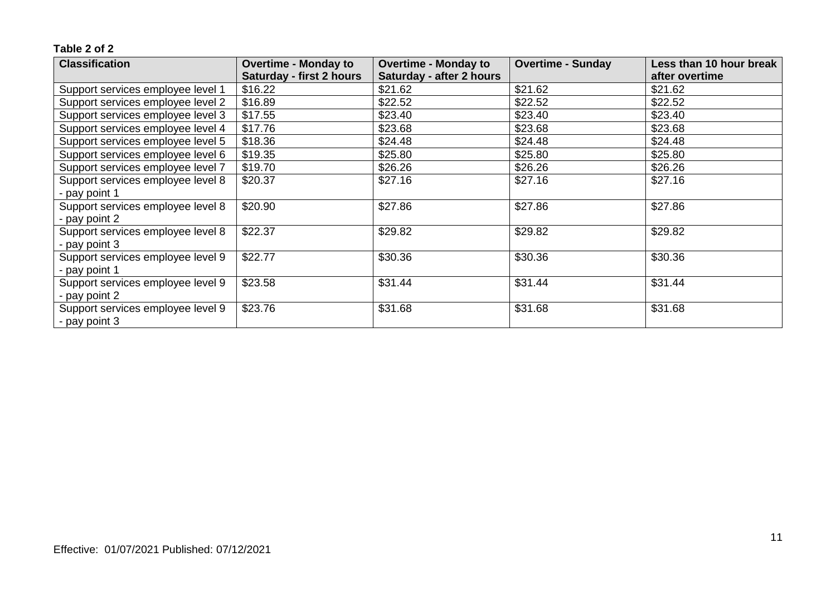| <b>Classification</b>             | <b>Overtime - Monday to</b>     | <b>Overtime - Monday to</b> | <b>Overtime - Sunday</b> | Less than 10 hour break |
|-----------------------------------|---------------------------------|-----------------------------|--------------------------|-------------------------|
|                                   | <b>Saturday - first 2 hours</b> | Saturday - after 2 hours    |                          | after overtime          |
| Support services employee level 1 | \$16.22                         | \$21.62                     | \$21.62                  | \$21.62                 |
| Support services employee level 2 | \$16.89                         | \$22.52                     | \$22.52                  | \$22.52                 |
| Support services employee level 3 | \$17.55                         | \$23.40                     | \$23.40                  | \$23.40                 |
| Support services employee level 4 | \$17.76                         | \$23.68                     | \$23.68                  | \$23.68                 |
| Support services employee level 5 | \$18.36                         | \$24.48                     | \$24.48                  | \$24.48                 |
| Support services employee level 6 | \$19.35                         | \$25.80                     | \$25.80                  | \$25.80                 |
| Support services employee level 7 | \$19.70                         | \$26.26                     | \$26.26                  | \$26.26                 |
| Support services employee level 8 | \$20.37                         | \$27.16                     | \$27.16                  | \$27.16                 |
| - pay point 1                     |                                 |                             |                          |                         |
| Support services employee level 8 | \$20.90                         | \$27.86                     | \$27.86                  | \$27.86                 |
| - pay point 2                     |                                 |                             |                          |                         |
| Support services employee level 8 | \$22.37                         | \$29.82                     | \$29.82                  | \$29.82                 |
| - pay point 3                     |                                 |                             |                          |                         |
| Support services employee level 9 | \$22.77                         | \$30.36                     | \$30.36                  | \$30.36                 |
| - pay point 1                     |                                 |                             |                          |                         |
| Support services employee level 9 | \$23.58                         | \$31.44                     | \$31.44                  | \$31.44                 |
| - pay point 2                     |                                 |                             |                          |                         |
| Support services employee level 9 | \$23.76                         | \$31.68                     | \$31.68                  | \$31.68                 |
| - pay point 3                     |                                 |                             |                          |                         |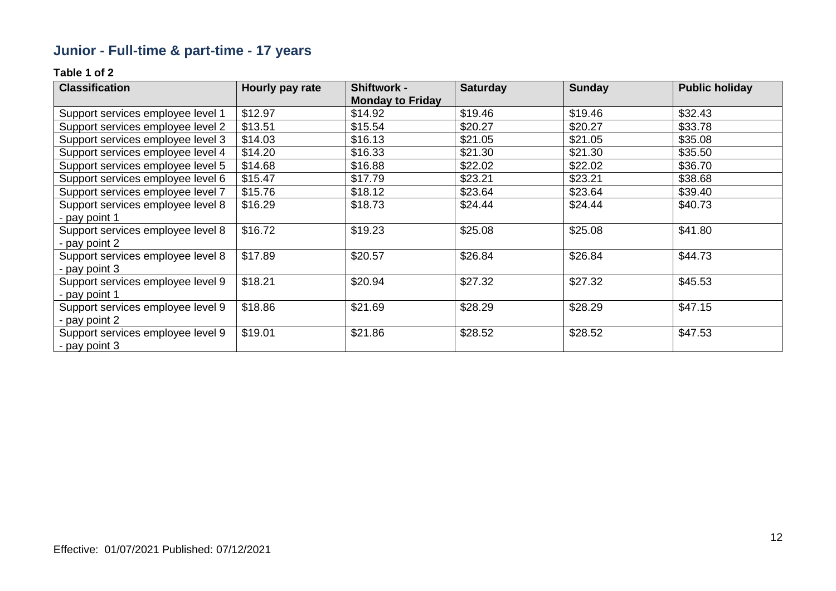# **Junior - Full-time & part-time - 17 years**

| <b>Classification</b>             | Hourly pay rate | <b>Shiftwork -</b>      | <b>Saturday</b> | <b>Sunday</b> | <b>Public holiday</b> |
|-----------------------------------|-----------------|-------------------------|-----------------|---------------|-----------------------|
|                                   |                 | <b>Monday to Friday</b> |                 |               |                       |
| Support services employee level 1 | \$12.97         | \$14.92                 | \$19.46         | \$19.46       | \$32.43               |
| Support services employee level 2 | \$13.51         | \$15.54                 | \$20.27         | \$20.27       | \$33.78               |
| Support services employee level 3 | \$14.03         | \$16.13                 | \$21.05         | \$21.05       | \$35.08               |
| Support services employee level 4 | \$14.20         | \$16.33                 | \$21.30         | \$21.30       | \$35.50               |
| Support services employee level 5 | \$14.68         | \$16.88                 | \$22.02         | \$22.02       | \$36.70               |
| Support services employee level 6 | \$15.47         | \$17.79                 | \$23.21         | \$23.21       | \$38.68               |
| Support services employee level 7 | \$15.76         | \$18.12                 | \$23.64         | \$23.64       | \$39.40               |
| Support services employee level 8 | \$16.29         | \$18.73                 | \$24.44         | \$24.44       | \$40.73               |
| - pay point 1                     |                 |                         |                 |               |                       |
| Support services employee level 8 | \$16.72         | \$19.23                 | \$25.08         | \$25.08       | \$41.80               |
| - pay point 2                     |                 |                         |                 |               |                       |
| Support services employee level 8 | \$17.89         | \$20.57                 | \$26.84         | \$26.84       | \$44.73               |
| - pay point 3                     |                 |                         |                 |               |                       |
| Support services employee level 9 | \$18.21         | \$20.94                 | \$27.32         | \$27.32       | \$45.53               |
| - pay point 1                     |                 |                         |                 |               |                       |
| Support services employee level 9 | \$18.86         | \$21.69                 | \$28.29         | \$28.29       | \$47.15               |
| - pay point 2                     |                 |                         |                 |               |                       |
| Support services employee level 9 | \$19.01         | \$21.86                 | \$28.52         | \$28.52       | \$47.53               |
| - pay point 3                     |                 |                         |                 |               |                       |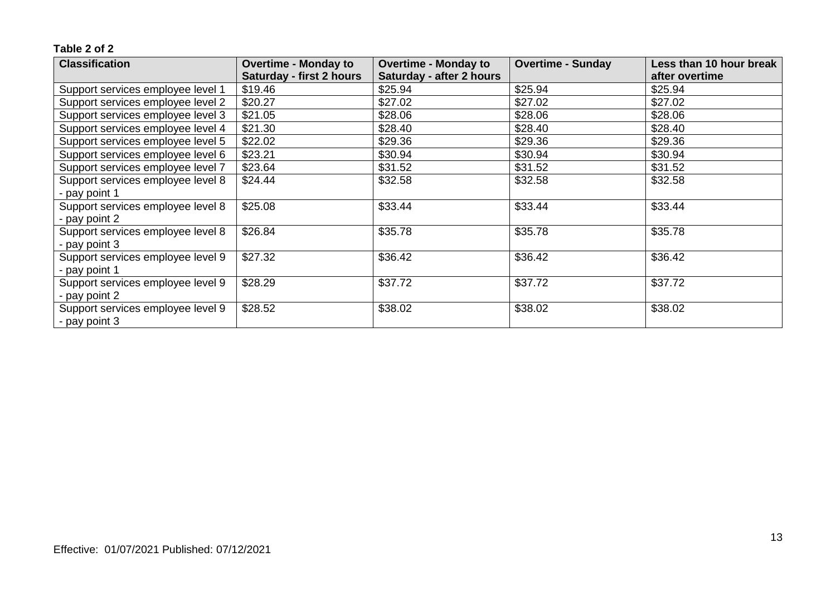| <b>Classification</b>             | <b>Overtime - Monday to</b>     | <b>Overtime - Monday to</b> | <b>Overtime - Sunday</b> | Less than 10 hour break |
|-----------------------------------|---------------------------------|-----------------------------|--------------------------|-------------------------|
|                                   | <b>Saturday - first 2 hours</b> | Saturday - after 2 hours    |                          | after overtime          |
| Support services employee level 1 | \$19.46                         | \$25.94                     | \$25.94                  | \$25.94                 |
| Support services employee level 2 | \$20.27                         | \$27.02                     | \$27.02                  | \$27.02                 |
| Support services employee level 3 | \$21.05                         | \$28.06                     | \$28.06                  | \$28.06                 |
| Support services employee level 4 | \$21.30                         | \$28.40                     | \$28.40                  | \$28.40                 |
| Support services employee level 5 | \$22.02                         | \$29.36                     | \$29.36                  | \$29.36                 |
| Support services employee level 6 | \$23.21                         | \$30.94                     | \$30.94                  | \$30.94                 |
| Support services employee level 7 | \$23.64                         | \$31.52                     | \$31.52                  | \$31.52                 |
| Support services employee level 8 | \$24.44                         | \$32.58                     | \$32.58                  | \$32.58                 |
| - pay point 1                     |                                 |                             |                          |                         |
| Support services employee level 8 | \$25.08                         | \$33.44                     | \$33.44                  | \$33.44                 |
| - pay point 2                     |                                 |                             |                          |                         |
| Support services employee level 8 | \$26.84                         | \$35.78                     | \$35.78                  | \$35.78                 |
| - pay point 3                     |                                 |                             |                          |                         |
| Support services employee level 9 | \$27.32                         | \$36.42                     | \$36.42                  | \$36.42                 |
| - pay point 1                     |                                 |                             |                          |                         |
| Support services employee level 9 | \$28.29                         | \$37.72                     | \$37.72                  | \$37.72                 |
| - pay point 2                     |                                 |                             |                          |                         |
| Support services employee level 9 | \$28.52                         | \$38.02                     | \$38.02                  | \$38.02                 |
| - pay point 3                     |                                 |                             |                          |                         |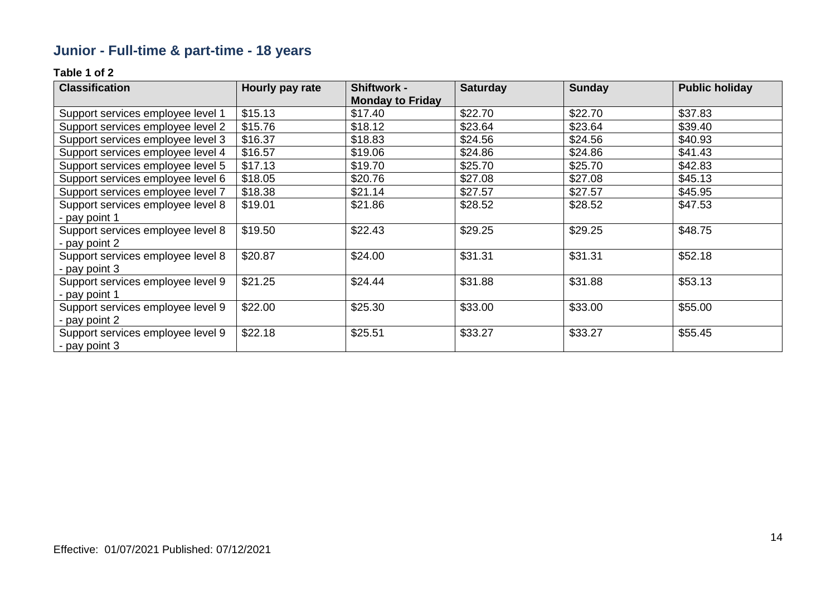# **Junior - Full-time & part-time - 18 years**

| <b>Classification</b>             | Hourly pay rate | <b>Shiftwork -</b>      | <b>Saturday</b> | <b>Sunday</b> | <b>Public holiday</b> |
|-----------------------------------|-----------------|-------------------------|-----------------|---------------|-----------------------|
|                                   |                 | <b>Monday to Friday</b> |                 |               |                       |
| Support services employee level 1 | \$15.13         | \$17.40                 | \$22.70         | \$22.70       | \$37.83               |
| Support services employee level 2 | \$15.76         | \$18.12                 | \$23.64         | \$23.64       | \$39.40               |
| Support services employee level 3 | \$16.37         | \$18.83                 | \$24.56         | \$24.56       | \$40.93               |
| Support services employee level 4 | \$16.57         | \$19.06                 | \$24.86         | \$24.86       | \$41.43               |
| Support services employee level 5 | \$17.13         | \$19.70                 | \$25.70         | \$25.70       | \$42.83               |
| Support services employee level 6 | \$18.05         | \$20.76                 | \$27.08         | \$27.08       | \$45.13               |
| Support services employee level 7 | \$18.38         | \$21.14                 | \$27.57         | \$27.57       | \$45.95               |
| Support services employee level 8 | \$19.01         | \$21.86                 | \$28.52         | \$28.52       | \$47.53               |
| - pay point 1                     |                 |                         |                 |               |                       |
| Support services employee level 8 | \$19.50         | \$22.43                 | \$29.25         | \$29.25       | \$48.75               |
| - pay point 2                     |                 |                         |                 |               |                       |
| Support services employee level 8 | \$20.87         | \$24.00                 | \$31.31         | \$31.31       | \$52.18               |
| - pay point 3                     |                 |                         |                 |               |                       |
| Support services employee level 9 | \$21.25         | \$24.44                 | \$31.88         | \$31.88       | \$53.13               |
| - pay point 1                     |                 |                         |                 |               |                       |
| Support services employee level 9 | \$22.00         | \$25.30                 | \$33.00         | \$33.00       | \$55.00               |
| - pay point 2                     |                 |                         |                 |               |                       |
| Support services employee level 9 | \$22.18         | \$25.51                 | \$33.27         | \$33.27       | \$55.45               |
| - pay point 3                     |                 |                         |                 |               |                       |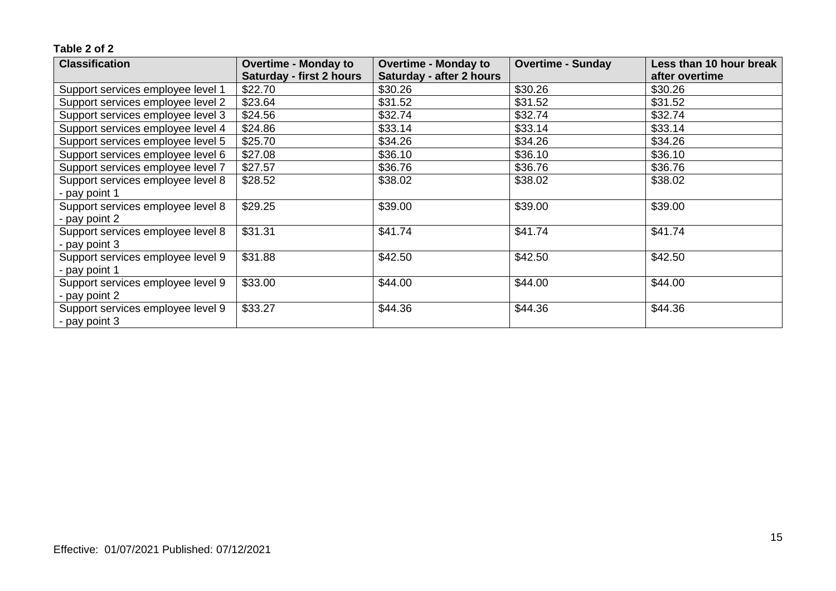| <b>Classification</b>             | <b>Overtime - Monday to</b>     | <b>Overtime - Monday to</b> | <b>Overtime - Sunday</b> | Less than 10 hour break |
|-----------------------------------|---------------------------------|-----------------------------|--------------------------|-------------------------|
|                                   | <b>Saturday - first 2 hours</b> | Saturday - after 2 hours    |                          | after overtime          |
| Support services employee level 1 | \$22.70                         | \$30.26                     | \$30.26                  | \$30.26                 |
| Support services employee level 2 | \$23.64                         | \$31.52                     | \$31.52                  | \$31.52                 |
| Support services employee level 3 | \$24.56                         | \$32.74                     | \$32.74                  | \$32.74                 |
| Support services employee level 4 | \$24.86                         | \$33.14                     | \$33.14                  | \$33.14                 |
| Support services employee level 5 | \$25.70                         | \$34.26                     | \$34.26                  | \$34.26                 |
| Support services employee level 6 | \$27.08                         | \$36.10                     | \$36.10                  | \$36.10                 |
| Support services employee level 7 | \$27.57                         | \$36.76                     | \$36.76                  | \$36.76                 |
| Support services employee level 8 | \$28.52                         | \$38.02                     | \$38.02                  | \$38.02                 |
| - pay point 1                     |                                 |                             |                          |                         |
| Support services employee level 8 | \$29.25                         | \$39.00                     | \$39.00                  | \$39.00                 |
| - pay point 2                     |                                 |                             |                          |                         |
| Support services employee level 8 | \$31.31                         | \$41.74                     | \$41.74                  | \$41.74                 |
| - pay point 3                     |                                 |                             |                          |                         |
| Support services employee level 9 | \$31.88                         | \$42.50                     | \$42.50                  | \$42.50                 |
| - pay point 1                     |                                 |                             |                          |                         |
| Support services employee level 9 | \$33.00                         | \$44.00                     | \$44.00                  | \$44.00                 |
| - pay point 2                     |                                 |                             |                          |                         |
| Support services employee level 9 | \$33.27                         | \$44.36                     | \$44.36                  | \$44.36                 |
| - pay point 3                     |                                 |                             |                          |                         |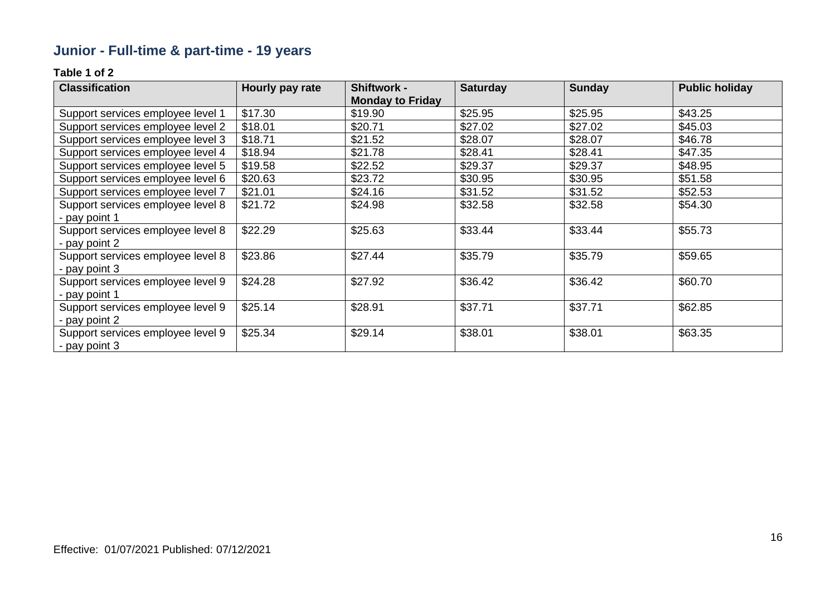# **Junior - Full-time & part-time - 19 years**

| <b>Classification</b>             | Hourly pay rate | <b>Shiftwork -</b>      | <b>Saturday</b> | <b>Sunday</b> | <b>Public holiday</b> |
|-----------------------------------|-----------------|-------------------------|-----------------|---------------|-----------------------|
|                                   |                 | <b>Monday to Friday</b> |                 |               |                       |
| Support services employee level 1 | \$17.30         | \$19.90                 | \$25.95         | \$25.95       | \$43.25               |
| Support services employee level 2 | \$18.01         | \$20.71                 | \$27.02         | \$27.02       | \$45.03               |
| Support services employee level 3 | \$18.71         | \$21.52                 | \$28.07         | \$28.07       | \$46.78               |
| Support services employee level 4 | \$18.94         | \$21.78                 | \$28.41         | \$28.41       | \$47.35               |
| Support services employee level 5 | \$19.58         | \$22.52                 | \$29.37         | \$29.37       | \$48.95               |
| Support services employee level 6 | \$20.63         | \$23.72                 | \$30.95         | \$30.95       | \$51.58               |
| Support services employee level 7 | \$21.01         | \$24.16                 | \$31.52         | \$31.52       | \$52.53               |
| Support services employee level 8 | \$21.72         | \$24.98                 | \$32.58         | \$32.58       | \$54.30               |
| - pay point 1                     |                 |                         |                 |               |                       |
| Support services employee level 8 | \$22.29         | \$25.63                 | \$33.44         | \$33.44       | \$55.73               |
| - pay point 2                     |                 |                         |                 |               |                       |
| Support services employee level 8 | \$23.86         | \$27.44                 | \$35.79         | \$35.79       | \$59.65               |
| - pay point 3                     |                 |                         |                 |               |                       |
| Support services employee level 9 | \$24.28         | \$27.92                 | \$36.42         | \$36.42       | \$60.70               |
| - pay point 1                     |                 |                         |                 |               |                       |
| Support services employee level 9 | \$25.14         | \$28.91                 | \$37.71         | \$37.71       | \$62.85               |
| - pay point 2                     |                 |                         |                 |               |                       |
| Support services employee level 9 | \$25.34         | \$29.14                 | \$38.01         | \$38.01       | \$63.35               |
| - pay point 3                     |                 |                         |                 |               |                       |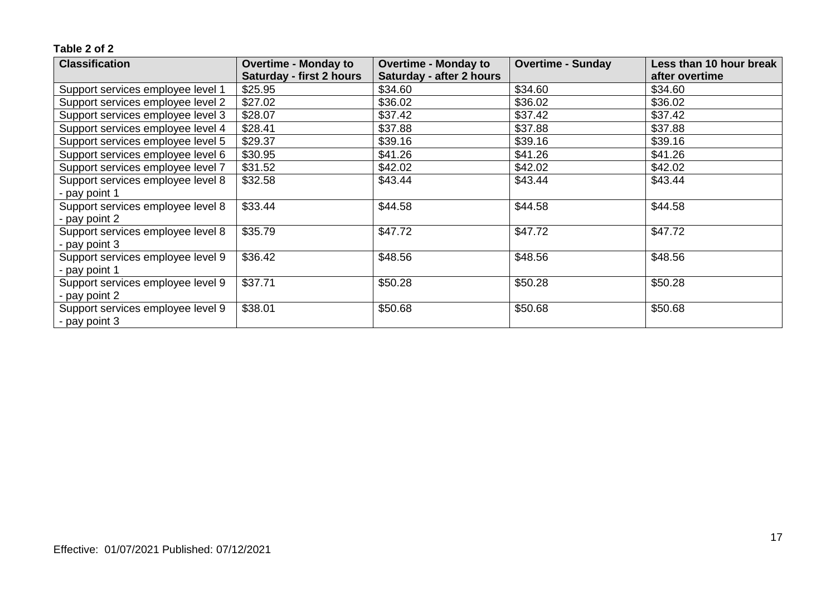| <b>Classification</b>             | <b>Overtime - Monday to</b>     | <b>Overtime - Monday to</b> | <b>Overtime - Sunday</b> | Less than 10 hour break |
|-----------------------------------|---------------------------------|-----------------------------|--------------------------|-------------------------|
|                                   | <b>Saturday - first 2 hours</b> | Saturday - after 2 hours    |                          | after overtime          |
| Support services employee level 1 | \$25.95                         | \$34.60                     | \$34.60                  | \$34.60                 |
| Support services employee level 2 | \$27.02                         | \$36.02                     | \$36.02                  | \$36.02                 |
| Support services employee level 3 | \$28.07                         | \$37.42                     | \$37.42                  | \$37.42                 |
| Support services employee level 4 | \$28.41                         | \$37.88                     | \$37.88                  | \$37.88                 |
| Support services employee level 5 | \$29.37                         | \$39.16                     | \$39.16                  | \$39.16                 |
| Support services employee level 6 | \$30.95                         | \$41.26                     | \$41.26                  | \$41.26                 |
| Support services employee level 7 | \$31.52                         | \$42.02                     | \$42.02                  | \$42.02                 |
| Support services employee level 8 | \$32.58                         | \$43.44                     | \$43.44                  | \$43.44                 |
| - pay point 1                     |                                 |                             |                          |                         |
| Support services employee level 8 | \$33.44                         | \$44.58                     | \$44.58                  | \$44.58                 |
| - pay point 2                     |                                 |                             |                          |                         |
| Support services employee level 8 | \$35.79                         | \$47.72                     | \$47.72                  | \$47.72                 |
| - pay point 3                     |                                 |                             |                          |                         |
| Support services employee level 9 | \$36.42                         | \$48.56                     | \$48.56                  | \$48.56                 |
| - pay point 1                     |                                 |                             |                          |                         |
| Support services employee level 9 | \$37.71                         | \$50.28                     | \$50.28                  | \$50.28                 |
| - pay point 2                     |                                 |                             |                          |                         |
| Support services employee level 9 | \$38.01                         | \$50.68                     | \$50.68                  | \$50.68                 |
| - pay point 3                     |                                 |                             |                          |                         |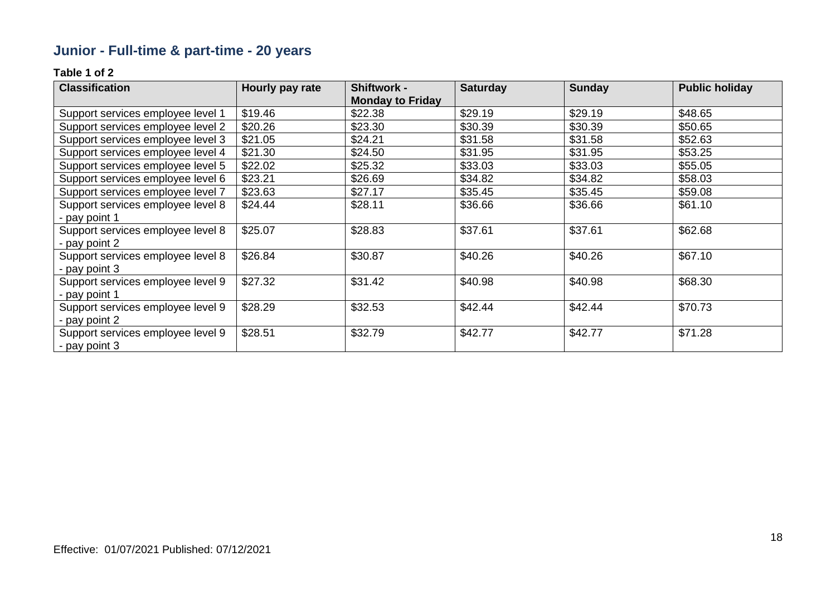# **Junior - Full-time & part-time - 20 years**

| <b>Classification</b>             | Hourly pay rate | <b>Shiftwork -</b>      | <b>Saturday</b> | <b>Sunday</b> | <b>Public holiday</b> |
|-----------------------------------|-----------------|-------------------------|-----------------|---------------|-----------------------|
|                                   |                 | <b>Monday to Friday</b> |                 |               |                       |
| Support services employee level 1 | \$19.46         | \$22.38                 | \$29.19         | \$29.19       | \$48.65               |
| Support services employee level 2 | \$20.26         | \$23.30                 | \$30.39         | \$30.39       | \$50.65               |
| Support services employee level 3 | \$21.05         | \$24.21                 | \$31.58         | \$31.58       | \$52.63               |
| Support services employee level 4 | \$21.30         | \$24.50                 | \$31.95         | \$31.95       | \$53.25               |
| Support services employee level 5 | \$22.02         | \$25.32                 | \$33.03         | \$33.03       | \$55.05               |
| Support services employee level 6 | \$23.21         | \$26.69                 | \$34.82         | \$34.82       | \$58.03               |
| Support services employee level 7 | \$23.63         | \$27.17                 | \$35.45         | \$35.45       | \$59.08               |
| Support services employee level 8 | \$24.44         | \$28.11                 | \$36.66         | \$36.66       | \$61.10               |
| - pay point 1                     |                 |                         |                 |               |                       |
| Support services employee level 8 | \$25.07         | \$28.83                 | \$37.61         | \$37.61       | \$62.68               |
| - pay point 2                     |                 |                         |                 |               |                       |
| Support services employee level 8 | \$26.84         | \$30.87                 | \$40.26         | \$40.26       | \$67.10               |
| - pay point 3                     |                 |                         |                 |               |                       |
| Support services employee level 9 | \$27.32         | \$31.42                 | \$40.98         | \$40.98       | \$68.30               |
| - pay point 1                     |                 |                         |                 |               |                       |
| Support services employee level 9 | \$28.29         | \$32.53                 | \$42.44         | \$42.44       | \$70.73               |
| - pay point 2                     |                 |                         |                 |               |                       |
| Support services employee level 9 | \$28.51         | \$32.79                 | \$42.77         | \$42.77       | \$71.28               |
| - pay point 3                     |                 |                         |                 |               |                       |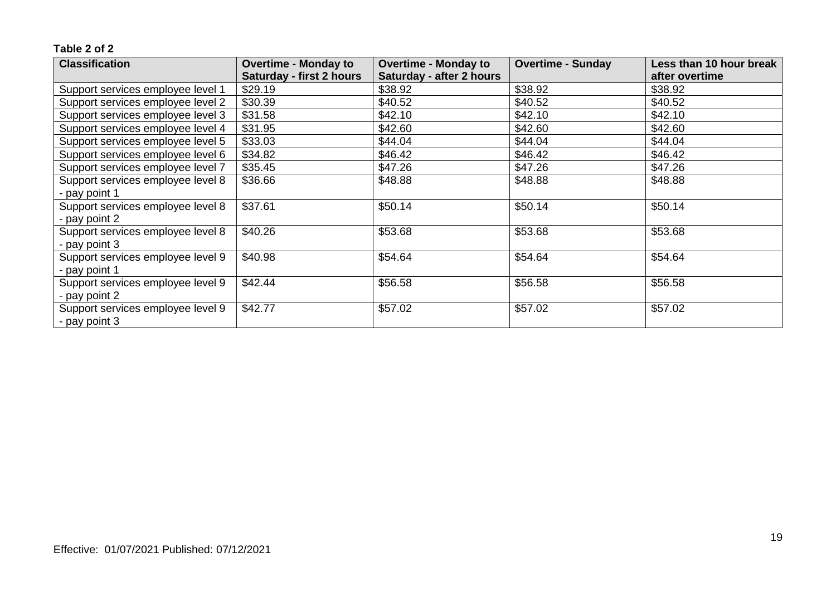| <b>Classification</b>             | <b>Overtime - Monday to</b>     | <b>Overtime - Monday to</b> | <b>Overtime - Sunday</b> | Less than 10 hour break |
|-----------------------------------|---------------------------------|-----------------------------|--------------------------|-------------------------|
|                                   | <b>Saturday - first 2 hours</b> | Saturday - after 2 hours    |                          | after overtime          |
| Support services employee level 1 | \$29.19                         | \$38.92                     | \$38.92                  | \$38.92                 |
| Support services employee level 2 | \$30.39                         | \$40.52                     | \$40.52                  | \$40.52                 |
| Support services employee level 3 | \$31.58                         | \$42.10                     | \$42.10                  | \$42.10                 |
| Support services employee level 4 | \$31.95                         | \$42.60                     | \$42.60                  | \$42.60                 |
| Support services employee level 5 | \$33.03                         | \$44.04                     | \$44.04                  | \$44.04                 |
| Support services employee level 6 | \$34.82                         | \$46.42                     | \$46.42                  | \$46.42                 |
| Support services employee level 7 | \$35.45                         | \$47.26                     | \$47.26                  | \$47.26                 |
| Support services employee level 8 | \$36.66                         | \$48.88                     | \$48.88                  | \$48.88                 |
| - pay point 1                     |                                 |                             |                          |                         |
| Support services employee level 8 | \$37.61                         | \$50.14                     | \$50.14                  | \$50.14                 |
| - pay point 2                     |                                 |                             |                          |                         |
| Support services employee level 8 | \$40.26                         | \$53.68                     | \$53.68                  | \$53.68                 |
| - pay point 3                     |                                 |                             |                          |                         |
| Support services employee level 9 | \$40.98                         | \$54.64                     | \$54.64                  | \$54.64                 |
| - pay point 1                     |                                 |                             |                          |                         |
| Support services employee level 9 | \$42.44                         | \$56.58                     | \$56.58                  | \$56.58                 |
| - pay point 2                     |                                 |                             |                          |                         |
| Support services employee level 9 | \$42.77                         | \$57.02                     | \$57.02                  | \$57.02                 |
| - pay point 3                     |                                 |                             |                          |                         |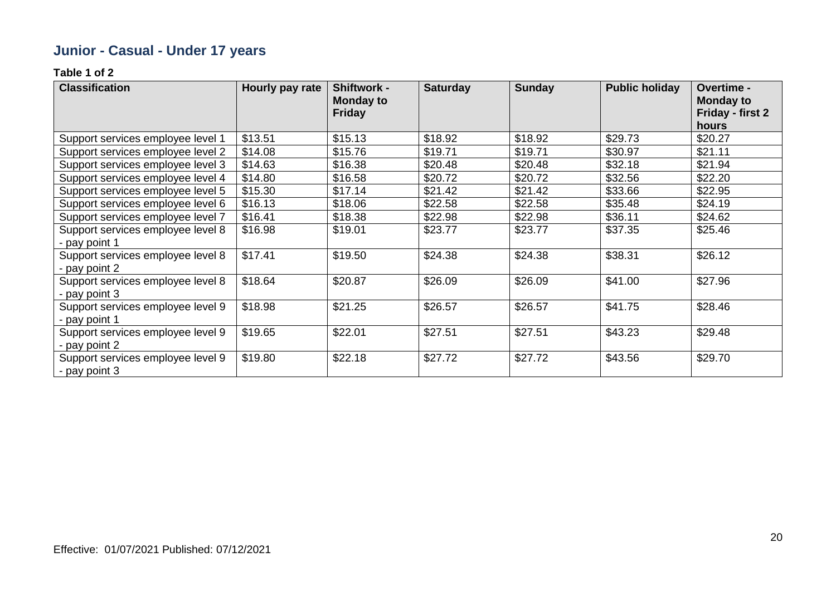# **Junior - Casual - Under 17 years**

| <b>Classification</b>                              | Hourly pay rate | <b>Shiftwork -</b><br>Monday to<br><b>Friday</b> | <b>Saturday</b> | <b>Sunday</b> | <b>Public holiday</b> | Overtime -<br><b>Monday to</b><br>Friday - first 2<br>hours |
|----------------------------------------------------|-----------------|--------------------------------------------------|-----------------|---------------|-----------------------|-------------------------------------------------------------|
| Support services employee level 1                  | \$13.51         | \$15.13                                          | \$18.92         | \$18.92       | \$29.73               | \$20.27                                                     |
| Support services employee level 2                  | \$14.08         | \$15.76                                          | \$19.71         | \$19.71       | \$30.97               | \$21.11                                                     |
| Support services employee level 3                  | \$14.63         | \$16.38                                          | \$20.48         | \$20.48       | \$32.18               | \$21.94                                                     |
| Support services employee level 4                  | \$14.80         | \$16.58                                          | \$20.72         | \$20.72       | \$32.56               | \$22.20                                                     |
| Support services employee level 5                  | \$15.30         | \$17.14                                          | \$21.42         | \$21.42       | \$33.66               | \$22.95                                                     |
| Support services employee level 6                  | \$16.13         | \$18.06                                          | \$22.58         | \$22.58       | \$35.48               | \$24.19                                                     |
| Support services employee level 7                  | \$16.41         | \$18.38                                          | \$22.98         | \$22.98       | \$36.11               | \$24.62                                                     |
| Support services employee level 8                  | \$16.98         | \$19.01                                          | \$23.77         | \$23.77       | \$37.35               | \$25.46                                                     |
| - pay point 1                                      |                 |                                                  |                 |               |                       |                                                             |
| Support services employee level 8                  | \$17.41         | \$19.50                                          | \$24.38         | \$24.38       | \$38.31               | \$26.12                                                     |
| - pay point 2                                      |                 |                                                  |                 |               |                       |                                                             |
| Support services employee level 8                  | \$18.64         | \$20.87                                          | \$26.09         | \$26.09       | \$41.00               | \$27.96                                                     |
| - pay point 3                                      |                 |                                                  |                 |               |                       |                                                             |
| Support services employee level 9                  | \$18.98         | \$21.25                                          | \$26.57         | \$26.57       | \$41.75               | \$28.46                                                     |
| - pay point 1                                      |                 |                                                  |                 |               |                       |                                                             |
| Support services employee level 9<br>- pay point 2 | \$19.65         | \$22.01                                          | \$27.51         | \$27.51       | \$43.23               | \$29.48                                                     |
| Support services employee level 9                  | \$19.80         | \$22.18                                          | \$27.72         | \$27.72       | \$43.56               | \$29.70                                                     |
| - pay point 3                                      |                 |                                                  |                 |               |                       |                                                             |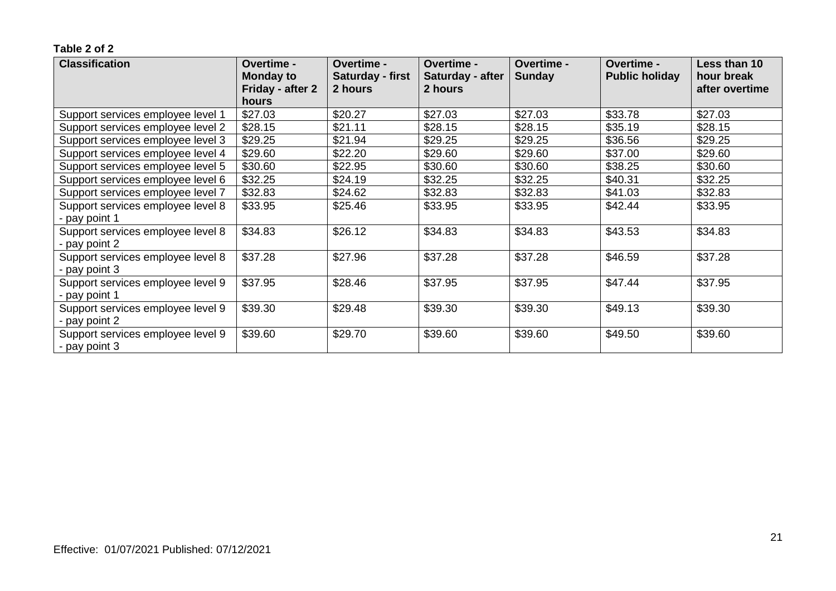| <b>Classification</b>             | Overtime -<br><b>Monday to</b> | Overtime -<br><b>Saturday - first</b> | <b>Overtime -</b><br>Saturday - after | <b>Overtime -</b><br><b>Sunday</b> | <b>Overtime -</b><br><b>Public holiday</b> | Less than 10<br>hour break |
|-----------------------------------|--------------------------------|---------------------------------------|---------------------------------------|------------------------------------|--------------------------------------------|----------------------------|
|                                   | Friday - after 2               | 2 hours                               | 2 hours                               |                                    |                                            | after overtime             |
|                                   | hours                          |                                       |                                       |                                    |                                            |                            |
| Support services employee level 1 | \$27.03                        | \$20.27                               | \$27.03                               | \$27.03                            | \$33.78                                    | \$27.03                    |
| Support services employee level 2 | \$28.15                        | \$21.11                               | \$28.15                               | \$28.15                            | \$35.19                                    | \$28.15                    |
| Support services employee level 3 | \$29.25                        | \$21.94                               | \$29.25                               | \$29.25                            | \$36.56                                    | \$29.25                    |
| Support services employee level 4 | \$29.60                        | \$22.20                               | \$29.60                               | \$29.60                            | \$37.00                                    | \$29.60                    |
| Support services employee level 5 | \$30.60                        | \$22.95                               | \$30.60                               | \$30.60                            | \$38.25                                    | \$30.60                    |
| Support services employee level 6 | \$32.25                        | \$24.19                               | \$32.25                               | \$32.25                            | \$40.31                                    | \$32.25                    |
| Support services employee level 7 | \$32.83                        | \$24.62                               | \$32.83                               | \$32.83                            | \$41.03                                    | \$32.83                    |
| Support services employee level 8 | \$33.95                        | \$25.46                               | \$33.95                               | \$33.95                            | \$42.44                                    | \$33.95                    |
| - pay point 1                     |                                |                                       |                                       |                                    |                                            |                            |
| Support services employee level 8 | \$34.83                        | \$26.12                               | \$34.83                               | \$34.83                            | \$43.53                                    | \$34.83                    |
| - pay point 2                     |                                |                                       |                                       |                                    |                                            |                            |
| Support services employee level 8 | \$37.28                        | \$27.96                               | \$37.28                               | \$37.28                            | \$46.59                                    | \$37.28                    |
| - pay point 3                     |                                |                                       |                                       |                                    |                                            |                            |
| Support services employee level 9 | \$37.95                        | \$28.46                               | \$37.95                               | \$37.95                            | \$47.44                                    | \$37.95                    |
| - pay point 1                     |                                |                                       |                                       |                                    |                                            |                            |
| Support services employee level 9 | \$39.30                        | \$29.48                               | \$39.30                               | \$39.30                            | \$49.13                                    | \$39.30                    |
| - pay point 2                     |                                |                                       |                                       |                                    |                                            |                            |
| Support services employee level 9 | \$39.60                        | \$29.70                               | \$39.60                               | \$39.60                            | \$49.50                                    | \$39.60                    |
| - pay point 3                     |                                |                                       |                                       |                                    |                                            |                            |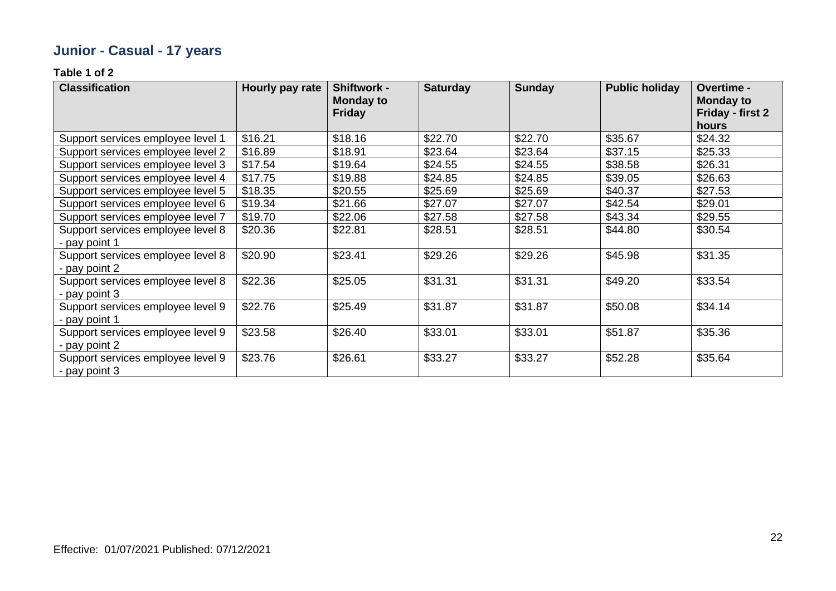# **Junior - Casual - 17 years**

| <b>Classification</b>                                | Hourly pay rate | <b>Shiftwork -</b><br>Monday to<br><b>Friday</b> | <b>Saturday</b> | <b>Sunday</b> | <b>Public holiday</b> | Overtime -<br><b>Monday to</b><br>Friday - first 2<br>hours |
|------------------------------------------------------|-----------------|--------------------------------------------------|-----------------|---------------|-----------------------|-------------------------------------------------------------|
| Support services employee level 1                    | \$16.21         | \$18.16                                          | \$22.70         | \$22.70       | \$35.67               | \$24.32                                                     |
| Support services employee level 2                    | \$16.89         | \$18.91                                          | \$23.64         | \$23.64       | \$37.15               | \$25.33                                                     |
| Support services employee level 3                    | \$17.54         | \$19.64                                          | \$24.55         | \$24.55       | \$38.58               | \$26.31                                                     |
| Support services employee level 4                    | \$17.75         | \$19.88                                          | \$24.85         | \$24.85       | \$39.05               | \$26.63                                                     |
| Support services employee level 5                    | \$18.35         | \$20.55                                          | \$25.69         | \$25.69       | \$40.37               | \$27.53                                                     |
| Support services employee level 6                    | \$19.34         | \$21.66                                          | \$27.07         | \$27.07       | \$42.54               | \$29.01                                                     |
| Support services employee level 7                    | \$19.70         | \$22.06                                          | \$27.58         | \$27.58       | \$43.34               | \$29.55                                                     |
| Support services employee level 8                    | \$20.36         | \$22.81                                          | \$28.51         | \$28.51       | \$44.80               | \$30.54                                                     |
| - pay point 1                                        |                 |                                                  |                 |               |                       |                                                             |
| Support services employee level 8                    | \$20.90         | \$23.41                                          | \$29.26         | \$29.26       | \$45.98               | \$31.35                                                     |
| - pay point 2                                        |                 |                                                  |                 |               |                       |                                                             |
| Support services employee level 8                    | \$22.36         | \$25.05                                          | \$31.31         | \$31.31       | \$49.20               | \$33.54                                                     |
| - pay point 3                                        |                 |                                                  |                 |               |                       |                                                             |
| Support services employee level 9                    | \$22.76         | \$25.49                                          | \$31.87         | \$31.87       | \$50.08               | \$34.14                                                     |
| - pay point 1                                        |                 |                                                  |                 |               |                       |                                                             |
| Support services employee level 9                    | \$23.58         | \$26.40                                          | \$33.01         | \$33.01       | \$51.87               | \$35.36                                                     |
| - pay point 2                                        |                 |                                                  |                 |               |                       |                                                             |
| Support services employee level 9<br>$-$ pay point 3 | \$23.76         | \$26.61                                          | \$33.27         | \$33.27       | \$52.28               | \$35.64                                                     |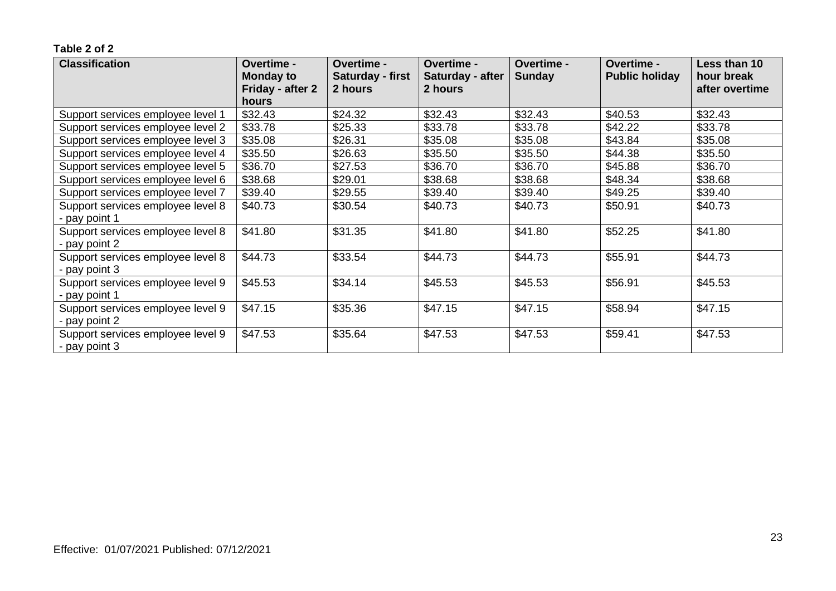| <b>Classification</b>             | Overtime -<br><b>Monday to</b> | Overtime -<br><b>Saturday - first</b> | <b>Overtime -</b><br>Saturday - after | <b>Overtime -</b><br><b>Sunday</b> | <b>Overtime -</b><br><b>Public holiday</b> | Less than 10<br>hour break |
|-----------------------------------|--------------------------------|---------------------------------------|---------------------------------------|------------------------------------|--------------------------------------------|----------------------------|
|                                   | Friday - after 2               | 2 hours                               | 2 hours                               |                                    |                                            | after overtime             |
|                                   | hours                          |                                       |                                       |                                    |                                            |                            |
| Support services employee level 1 | \$32.43                        | \$24.32                               | \$32.43                               | \$32.43                            | \$40.53                                    | \$32.43                    |
| Support services employee level 2 | \$33.78                        | \$25.33                               | \$33.78                               | \$33.78                            | \$42.22                                    | \$33.78                    |
| Support services employee level 3 | \$35.08                        | \$26.31                               | \$35.08                               | \$35.08                            | \$43.84                                    | \$35.08                    |
| Support services employee level 4 | \$35.50                        | \$26.63                               | \$35.50                               | \$35.50                            | \$44.38                                    | \$35.50                    |
| Support services employee level 5 | \$36.70                        | \$27.53                               | \$36.70                               | \$36.70                            | \$45.88                                    | \$36.70                    |
| Support services employee level 6 | \$38.68                        | \$29.01                               | \$38.68                               | \$38.68                            | \$48.34                                    | \$38.68                    |
| Support services employee level 7 | \$39.40                        | \$29.55                               | \$39.40                               | \$39.40                            | \$49.25                                    | \$39.40                    |
| Support services employee level 8 | \$40.73                        | \$30.54                               | \$40.73                               | \$40.73                            | \$50.91                                    | \$40.73                    |
| - pay point 1                     |                                |                                       |                                       |                                    |                                            |                            |
| Support services employee level 8 | \$41.80                        | \$31.35                               | \$41.80                               | \$41.80                            | \$52.25                                    | \$41.80                    |
| - pay point 2                     |                                |                                       |                                       |                                    |                                            |                            |
| Support services employee level 8 | \$44.73                        | \$33.54                               | \$44.73                               | \$44.73                            | \$55.91                                    | \$44.73                    |
| - pay point 3                     |                                |                                       |                                       |                                    |                                            |                            |
| Support services employee level 9 | \$45.53                        | \$34.14                               | \$45.53                               | \$45.53                            | \$56.91                                    | \$45.53                    |
| - pay point 1                     |                                |                                       |                                       |                                    |                                            |                            |
| Support services employee level 9 | \$47.15                        | \$35.36                               | \$47.15                               | \$47.15                            | \$58.94                                    | \$47.15                    |
| - pay point 2                     |                                |                                       |                                       |                                    |                                            |                            |
| Support services employee level 9 | \$47.53                        | \$35.64                               | \$47.53                               | \$47.53                            | \$59.41                                    | \$47.53                    |
| - pay point 3                     |                                |                                       |                                       |                                    |                                            |                            |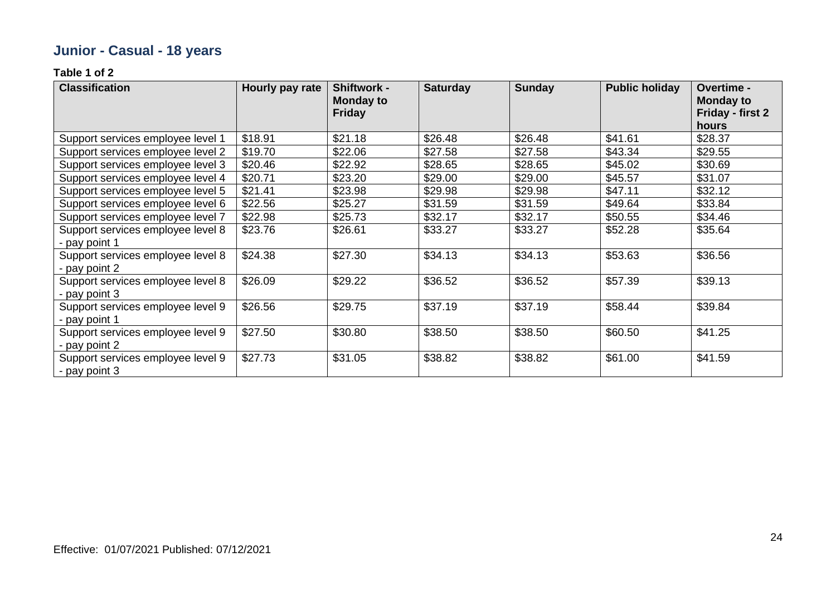# **Junior - Casual - 18 years**

| <b>Classification</b>             | Hourly pay rate | <b>Shiftwork -</b><br><b>Monday to</b><br><b>Friday</b> | <b>Saturday</b> | <b>Sunday</b> | <b>Public holiday</b> | Overtime -<br><b>Monday to</b><br>Friday - first 2 |
|-----------------------------------|-----------------|---------------------------------------------------------|-----------------|---------------|-----------------------|----------------------------------------------------|
|                                   |                 |                                                         |                 |               |                       | hours                                              |
| Support services employee level 1 | \$18.91         | \$21.18                                                 | \$26.48         | \$26.48       | \$41.61               | \$28.37                                            |
| Support services employee level 2 | \$19.70         | \$22.06                                                 | \$27.58         | \$27.58       | \$43.34               | \$29.55                                            |
| Support services employee level 3 | \$20.46         | \$22.92                                                 | \$28.65         | \$28.65       | \$45.02               | \$30.69                                            |
| Support services employee level 4 | \$20.71         | \$23.20                                                 | \$29.00         | \$29.00       | \$45.57               | \$31.07                                            |
| Support services employee level 5 | \$21.41         | \$23.98                                                 | \$29.98         | \$29.98       | \$47.11               | \$32.12                                            |
| Support services employee level 6 | \$22.56         | \$25.27                                                 | \$31.59         | \$31.59       | \$49.64               | \$33.84                                            |
| Support services employee level 7 | \$22.98         | \$25.73                                                 | \$32.17         | \$32.17       | \$50.55               | \$34.46                                            |
| Support services employee level 8 | \$23.76         | \$26.61                                                 | \$33.27         | \$33.27       | \$52.28               | \$35.64                                            |
| pay point 1                       |                 |                                                         |                 |               |                       |                                                    |
| Support services employee level 8 | \$24.38         | \$27.30                                                 | \$34.13         | \$34.13       | \$53.63               | \$36.56                                            |
| - pay point 2                     |                 |                                                         |                 |               |                       |                                                    |
| Support services employee level 8 | \$26.09         | \$29.22                                                 | \$36.52         | \$36.52       | \$57.39               | \$39.13                                            |
| - pay point 3                     |                 |                                                         |                 |               |                       |                                                    |
| Support services employee level 9 | \$26.56         | \$29.75                                                 | \$37.19         | \$37.19       | \$58.44               | \$39.84                                            |
| - pay point 1                     |                 |                                                         |                 |               |                       |                                                    |
| Support services employee level 9 | \$27.50         | \$30.80                                                 | \$38.50         | \$38.50       | \$60.50               | \$41.25                                            |
| - pay point 2                     |                 |                                                         |                 |               |                       |                                                    |
| Support services employee level 9 | \$27.73         | \$31.05                                                 | \$38.82         | \$38.82       | \$61.00               | \$41.59                                            |
| - pay point 3                     |                 |                                                         |                 |               |                       |                                                    |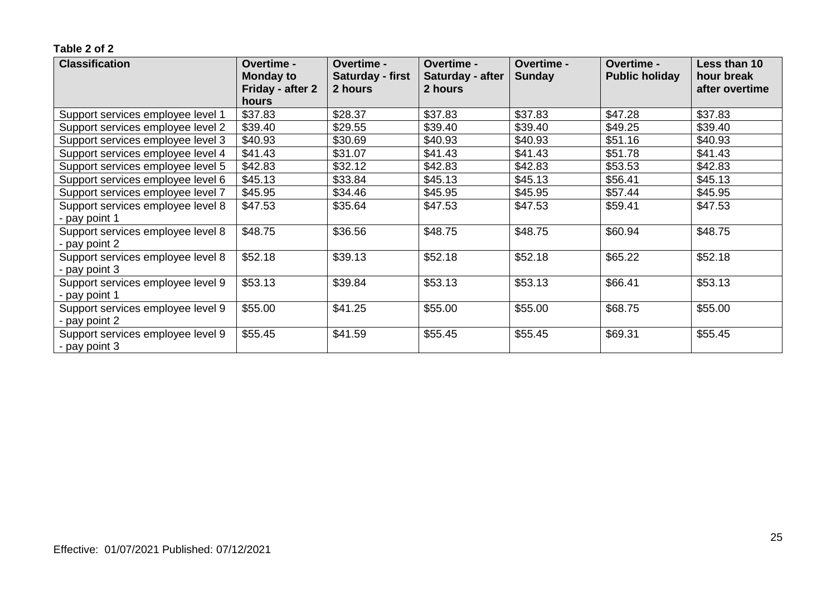| <b>Classification</b>             | Overtime -<br><b>Monday to</b> | <b>Overtime -</b><br><b>Saturday - first</b> | <b>Overtime -</b><br>Saturday - after | <b>Overtime -</b><br><b>Sunday</b> | <b>Overtime -</b><br><b>Public holiday</b> | Less than 10<br>hour break |
|-----------------------------------|--------------------------------|----------------------------------------------|---------------------------------------|------------------------------------|--------------------------------------------|----------------------------|
|                                   | Friday - after 2               | 2 hours                                      | 2 hours                               |                                    |                                            | after overtime             |
|                                   | hours                          |                                              |                                       |                                    |                                            |                            |
| Support services employee level 1 | \$37.83                        | \$28.37                                      | \$37.83                               | \$37.83                            | \$47.28                                    | \$37.83                    |
| Support services employee level 2 | \$39.40                        | \$29.55                                      | \$39.40                               | \$39.40                            | \$49.25                                    | \$39.40                    |
| Support services employee level 3 | \$40.93                        | \$30.69                                      | \$40.93                               | \$40.93                            | \$51.16                                    | \$40.93                    |
| Support services employee level 4 | \$41.43                        | \$31.07                                      | \$41.43                               | \$41.43                            | \$51.78                                    | \$41.43                    |
| Support services employee level 5 | \$42.83                        | \$32.12                                      | \$42.83                               | \$42.83                            | \$53.53                                    | \$42.83                    |
| Support services employee level 6 | \$45.13                        | \$33.84                                      | \$45.13                               | \$45.13                            | \$56.41                                    | \$45.13                    |
| Support services employee level 7 | \$45.95                        | \$34.46                                      | \$45.95                               | \$45.95                            | \$57.44                                    | \$45.95                    |
| Support services employee level 8 | \$47.53                        | \$35.64                                      | \$47.53                               | \$47.53                            | \$59.41                                    | \$47.53                    |
| - pay point 1                     |                                |                                              |                                       |                                    |                                            |                            |
| Support services employee level 8 | \$48.75                        | \$36.56                                      | \$48.75                               | \$48.75                            | \$60.94                                    | \$48.75                    |
| - pay point 2                     |                                |                                              |                                       |                                    |                                            |                            |
| Support services employee level 8 | \$52.18                        | \$39.13                                      | \$52.18                               | \$52.18                            | \$65.22                                    | \$52.18                    |
| - pay point 3                     |                                |                                              |                                       |                                    |                                            |                            |
| Support services employee level 9 | \$53.13                        | \$39.84                                      | \$53.13                               | \$53.13                            | \$66.41                                    | \$53.13                    |
| - pay point 1                     |                                |                                              |                                       |                                    |                                            |                            |
| Support services employee level 9 | \$55.00                        | \$41.25                                      | \$55.00                               | \$55.00                            | \$68.75                                    | \$55.00                    |
| - pay point 2                     |                                |                                              |                                       |                                    |                                            |                            |
| Support services employee level 9 | \$55.45                        | \$41.59                                      | \$55.45                               | \$55.45                            | \$69.31                                    | \$55.45                    |
| - pay point 3                     |                                |                                              |                                       |                                    |                                            |                            |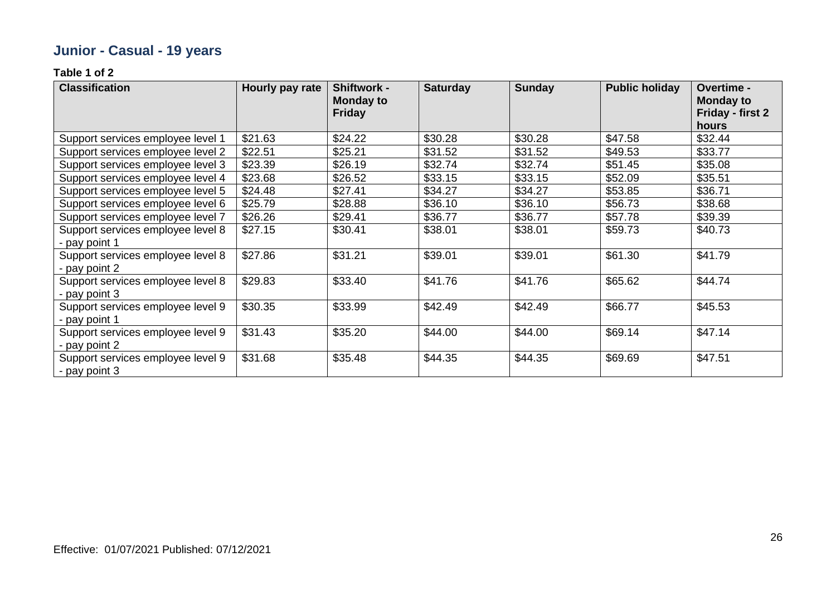# **Junior - Casual - 19 years**

| <b>Classification</b>                              | Hourly pay rate | <b>Shiftwork -</b><br>Monday to<br><b>Friday</b> | <b>Saturday</b> | <b>Sunday</b> | <b>Public holiday</b> | Overtime -<br><b>Monday to</b><br>Friday - first 2<br>hours |
|----------------------------------------------------|-----------------|--------------------------------------------------|-----------------|---------------|-----------------------|-------------------------------------------------------------|
| Support services employee level 1                  | \$21.63         | \$24.22                                          | \$30.28         | \$30.28       | \$47.58               | \$32.44                                                     |
| Support services employee level 2                  | \$22.51         | \$25.21                                          | \$31.52         | \$31.52       | \$49.53               | \$33.77                                                     |
| Support services employee level 3                  | \$23.39         | \$26.19                                          | \$32.74         | \$32.74       | \$51.45               | \$35.08                                                     |
| Support services employee level 4                  | \$23.68         | \$26.52                                          | \$33.15         | \$33.15       | \$52.09               | \$35.51                                                     |
| Support services employee level 5                  | \$24.48         | \$27.41                                          | \$34.27         | \$34.27       | \$53.85               | \$36.71                                                     |
| Support services employee level 6                  | \$25.79         | \$28.88                                          | \$36.10         | \$36.10       | \$56.73               | \$38.68                                                     |
| Support services employee level 7                  | \$26.26         | \$29.41                                          | \$36.77         | \$36.77       | \$57.78               | \$39.39                                                     |
| Support services employee level 8                  | \$27.15         | \$30.41                                          | \$38.01         | \$38.01       | \$59.73               | \$40.73                                                     |
| - pay point 1                                      |                 |                                                  |                 |               |                       |                                                             |
| Support services employee level 8                  | \$27.86         | \$31.21                                          | \$39.01         | \$39.01       | \$61.30               | \$41.79                                                     |
| - pay point 2                                      |                 |                                                  |                 |               |                       |                                                             |
| Support services employee level 8                  | \$29.83         | \$33.40                                          | \$41.76         | \$41.76       | \$65.62               | \$44.74                                                     |
| - pay point 3                                      |                 |                                                  |                 |               |                       |                                                             |
| Support services employee level 9                  | \$30.35         | \$33.99                                          | \$42.49         | \$42.49       | \$66.77               | \$45.53                                                     |
| - pay point 1                                      |                 |                                                  |                 |               |                       |                                                             |
| Support services employee level 9<br>- pay point 2 | \$31.43         | \$35.20                                          | \$44.00         | \$44.00       | \$69.14               | \$47.14                                                     |
| Support services employee level 9<br>- pay point 3 | \$31.68         | \$35.48                                          | \$44.35         | \$44.35       | \$69.69               | \$47.51                                                     |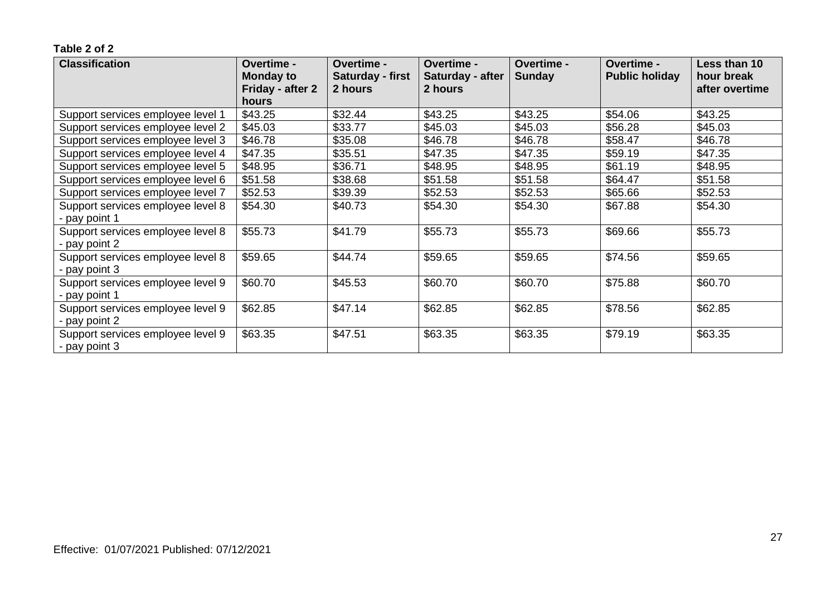| <b>Classification</b>             | Overtime -<br><b>Monday to</b> | <b>Overtime -</b><br><b>Saturday - first</b> | <b>Overtime -</b><br>Saturday - after | <b>Overtime -</b><br><b>Sunday</b> | <b>Overtime -</b><br><b>Public holiday</b> | Less than 10<br>hour break |
|-----------------------------------|--------------------------------|----------------------------------------------|---------------------------------------|------------------------------------|--------------------------------------------|----------------------------|
|                                   | Friday - after 2               | 2 hours                                      | 2 hours                               |                                    |                                            | after overtime             |
|                                   | hours                          |                                              |                                       |                                    |                                            |                            |
| Support services employee level 1 | \$43.25                        | \$32.44                                      | \$43.25                               | \$43.25                            | \$54.06                                    | \$43.25                    |
| Support services employee level 2 | \$45.03                        | \$33.77                                      | \$45.03                               | \$45.03                            | \$56.28                                    | \$45.03                    |
| Support services employee level 3 | \$46.78                        | \$35.08                                      | \$46.78                               | \$46.78                            | \$58.47                                    | \$46.78                    |
| Support services employee level 4 | \$47.35                        | \$35.51                                      | \$47.35                               | \$47.35                            | \$59.19                                    | \$47.35                    |
| Support services employee level 5 | \$48.95                        | \$36.71                                      | \$48.95                               | \$48.95                            | \$61.19                                    | \$48.95                    |
| Support services employee level 6 | \$51.58                        | \$38.68                                      | \$51.58                               | \$51.58                            | \$64.47                                    | \$51.58                    |
| Support services employee level 7 | \$52.53                        | \$39.39                                      | \$52.53                               | \$52.53                            | \$65.66                                    | \$52.53                    |
| Support services employee level 8 | \$54.30                        | \$40.73                                      | \$54.30                               | \$54.30                            | \$67.88                                    | \$54.30                    |
| - pay point 1                     |                                |                                              |                                       |                                    |                                            |                            |
| Support services employee level 8 | \$55.73                        | \$41.79                                      | \$55.73                               | \$55.73                            | \$69.66                                    | \$55.73                    |
| - pay point 2                     |                                |                                              |                                       |                                    |                                            |                            |
| Support services employee level 8 | \$59.65                        | \$44.74                                      | \$59.65                               | \$59.65                            | \$74.56                                    | \$59.65                    |
| - pay point 3                     |                                |                                              |                                       |                                    |                                            |                            |
| Support services employee level 9 | \$60.70                        | \$45.53                                      | \$60.70                               | \$60.70                            | \$75.88                                    | \$60.70                    |
| - pay point 1                     |                                |                                              |                                       |                                    |                                            |                            |
| Support services employee level 9 | \$62.85                        | \$47.14                                      | \$62.85                               | \$62.85                            | \$78.56                                    | \$62.85                    |
| - pay point 2                     |                                |                                              |                                       |                                    |                                            |                            |
| Support services employee level 9 | \$63.35                        | \$47.51                                      | \$63.35                               | \$63.35                            | \$79.19                                    | \$63.35                    |
| - pay point 3                     |                                |                                              |                                       |                                    |                                            |                            |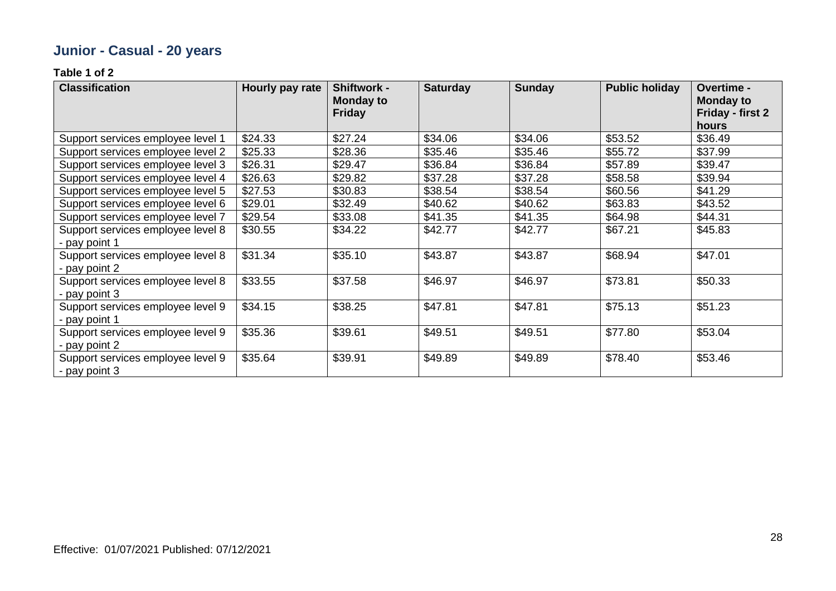# **Junior - Casual - 20 years**

| <b>Classification</b>                              | Hourly pay rate | <b>Shiftwork -</b><br>Monday to<br><b>Friday</b> | <b>Saturday</b> | <b>Sunday</b> | <b>Public holiday</b> | Overtime -<br><b>Monday to</b><br>Friday - first 2<br>hours |
|----------------------------------------------------|-----------------|--------------------------------------------------|-----------------|---------------|-----------------------|-------------------------------------------------------------|
| Support services employee level 1                  | \$24.33         | \$27.24                                          | \$34.06         | \$34.06       | \$53.52               | \$36.49                                                     |
| Support services employee level 2                  | \$25.33         | \$28.36                                          | \$35.46         | \$35.46       | \$55.72               | \$37.99                                                     |
| Support services employee level 3                  | \$26.31         | \$29.47                                          | \$36.84         | \$36.84       | \$57.89               | \$39.47                                                     |
| Support services employee level 4                  | \$26.63         | \$29.82                                          | \$37.28         | \$37.28       | \$58.58               | \$39.94                                                     |
| Support services employee level 5                  | \$27.53         | \$30.83                                          | \$38.54         | \$38.54       | \$60.56               | \$41.29                                                     |
| Support services employee level 6                  | \$29.01         | \$32.49                                          | \$40.62         | \$40.62       | \$63.83               | \$43.52                                                     |
| Support services employee level 7                  | \$29.54         | \$33.08                                          | \$41.35         | \$41.35       | \$64.98               | \$44.31                                                     |
| Support services employee level 8                  | \$30.55         | \$34.22                                          | \$42.77         | \$42.77       | \$67.21               | \$45.83                                                     |
| pay point 1                                        |                 |                                                  |                 |               |                       |                                                             |
| Support services employee level 8                  | \$31.34         | \$35.10                                          | \$43.87         | \$43.87       | \$68.94               | \$47.01                                                     |
| - pay point 2                                      |                 |                                                  |                 |               |                       |                                                             |
| Support services employee level 8                  | \$33.55         | \$37.58                                          | \$46.97         | \$46.97       | \$73.81               | \$50.33                                                     |
| - pay point 3                                      |                 |                                                  |                 |               |                       |                                                             |
| Support services employee level 9                  | \$34.15         | \$38.25                                          | \$47.81         | \$47.81       | \$75.13               | \$51.23                                                     |
| pay point 1                                        |                 |                                                  |                 |               |                       |                                                             |
| Support services employee level 9<br>- pay point 2 | \$35.36         | \$39.61                                          | \$49.51         | \$49.51       | \$77.80               | \$53.04                                                     |
| Support services employee level 9<br>- pay point 3 | \$35.64         | \$39.91                                          | \$49.89         | \$49.89       | \$78.40               | \$53.46                                                     |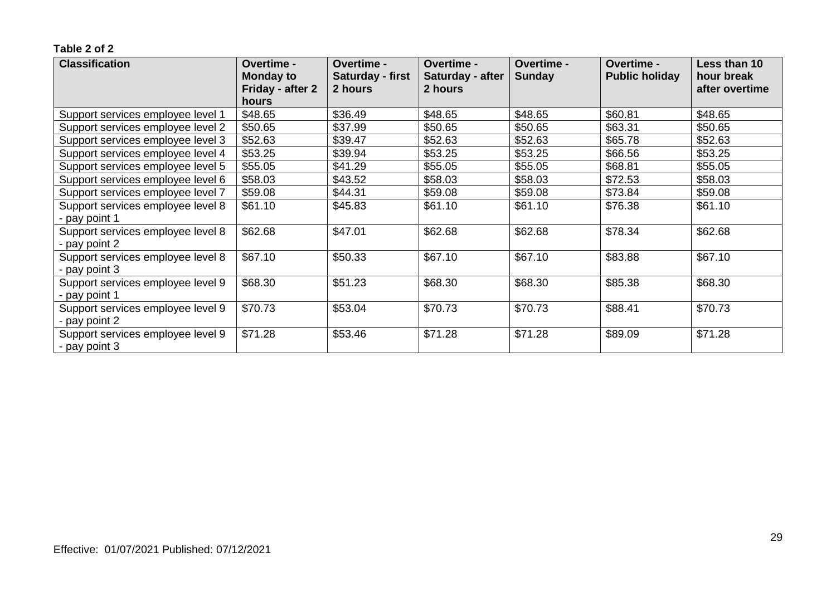| <b>Classification</b>                              | <b>Overtime -</b><br><b>Monday to</b> | Overtime -<br><b>Saturday - first</b><br>2 hours | <b>Overtime -</b><br>Saturday - after<br>2 hours | <b>Overtime -</b><br><b>Sunday</b> | <b>Overtime -</b><br><b>Public holiday</b> | Less than 10<br>hour break |
|----------------------------------------------------|---------------------------------------|--------------------------------------------------|--------------------------------------------------|------------------------------------|--------------------------------------------|----------------------------|
|                                                    | Friday - after 2<br>hours             |                                                  |                                                  |                                    |                                            | after overtime             |
| Support services employee level 1                  | \$48.65                               | \$36.49                                          | \$48.65                                          | \$48.65                            | \$60.81                                    | \$48.65                    |
| Support services employee level 2                  | \$50.65                               | \$37.99                                          | \$50.65                                          | \$50.65                            | \$63.31                                    | \$50.65                    |
| Support services employee level 3                  | \$52.63                               | \$39.47                                          | \$52.63                                          | \$52.63                            | \$65.78                                    | \$52.63                    |
| Support services employee level 4                  | \$53.25                               | \$39.94                                          | \$53.25                                          | \$53.25                            | \$66.56                                    | \$53.25                    |
| Support services employee level 5                  | \$55.05                               | \$41.29                                          | \$55.05                                          | \$55.05                            | \$68.81                                    | \$55.05                    |
| Support services employee level 6                  | \$58.03                               | \$43.52                                          | \$58.03                                          | \$58.03                            | \$72.53                                    | \$58.03                    |
| Support services employee level 7                  | \$59.08                               | \$44.31                                          | \$59.08                                          | \$59.08                            | \$73.84                                    | \$59.08                    |
| Support services employee level 8                  | \$61.10                               | \$45.83                                          | \$61.10                                          | \$61.10                            | \$76.38                                    | \$61.10                    |
| - pay point 1                                      |                                       |                                                  |                                                  |                                    |                                            |                            |
| Support services employee level 8                  | \$62.68                               | \$47.01                                          | \$62.68                                          | \$62.68                            | \$78.34                                    | \$62.68                    |
| - pay point 2                                      |                                       |                                                  |                                                  |                                    |                                            |                            |
| Support services employee level 8                  | \$67.10                               | \$50.33                                          | \$67.10                                          | \$67.10                            | \$83.88                                    | \$67.10                    |
| - pay point 3                                      |                                       |                                                  |                                                  |                                    |                                            |                            |
| Support services employee level 9                  | \$68.30                               | \$51.23                                          | \$68.30                                          | \$68.30                            | \$85.38                                    | \$68.30                    |
| - pay point 1                                      |                                       |                                                  |                                                  |                                    |                                            |                            |
| Support services employee level 9                  | \$70.73                               | \$53.04                                          | \$70.73                                          | \$70.73                            | \$88.41                                    | \$70.73                    |
| - pay point 2                                      |                                       |                                                  |                                                  |                                    |                                            |                            |
| Support services employee level 9<br>- pay point 3 | \$71.28                               | \$53.46                                          | \$71.28                                          | \$71.28                            | \$89.09                                    | \$71.28                    |
|                                                    |                                       |                                                  |                                                  |                                    |                                            |                            |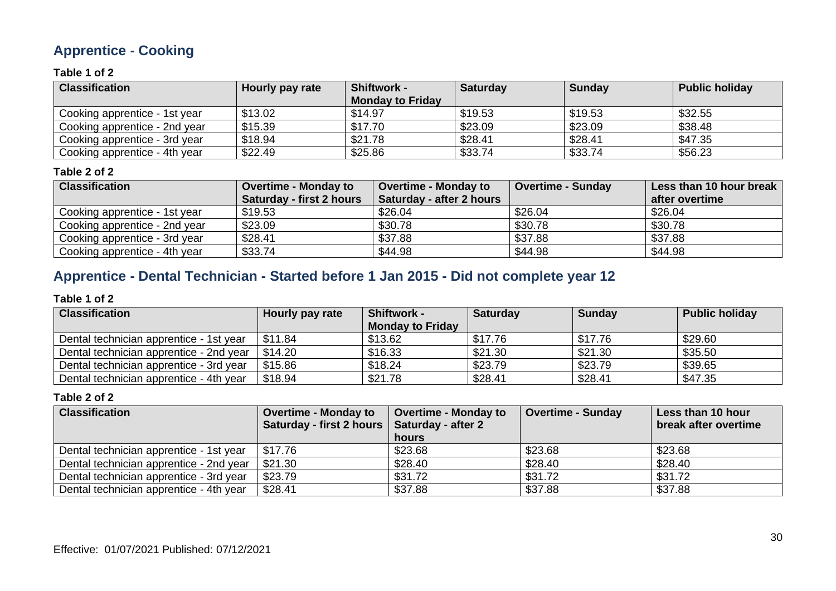### **Apprentice - Cooking**

#### **Table 1 of 2**

| <b>Classification</b>         | Hourly pay rate | <b>Shiftwork -</b><br><b>Monday to Friday</b> | <b>Saturday</b> | <b>Sunday</b> | <b>Public holiday</b> |
|-------------------------------|-----------------|-----------------------------------------------|-----------------|---------------|-----------------------|
| Cooking apprentice - 1st year | \$13.02         | \$14.97                                       | \$19.53         | \$19.53       | \$32.55               |
| Cooking apprentice - 2nd year | \$15.39         | \$17.70                                       | \$23.09         | \$23.09       | \$38.48               |
| Cooking apprentice - 3rd year | \$18.94         | \$21.78                                       | \$28.41         | \$28.41       | \$47.35               |
| Cooking apprentice - 4th year | \$22.49         | \$25.86                                       | \$33.74         | \$33.74       | \$56.23               |

#### **Table 2 of 2**

| <b>Classification</b>         | <b>Overtime - Monday to</b><br><b>Saturday - first 2 hours</b> | <b>Overtime - Monday to</b><br>Saturday - after 2 hours | <b>Overtime - Sunday</b> | Less than 10 hour break<br>after overtime |
|-------------------------------|----------------------------------------------------------------|---------------------------------------------------------|--------------------------|-------------------------------------------|
| Cooking apprentice - 1st year | \$19.53                                                        | \$26.04                                                 | \$26.04                  | \$26.04                                   |
| Cooking apprentice - 2nd year | \$23.09                                                        | \$30.78                                                 | \$30.78                  | \$30.78                                   |
| Cooking apprentice - 3rd year | \$28.41                                                        | \$37.88                                                 | \$37.88                  | \$37.88                                   |
| Cooking apprentice - 4th year | \$33.74                                                        | \$44.98                                                 | \$44.98                  | \$44.98                                   |

### **Apprentice - Dental Technician - Started before 1 Jan 2015 - Did not complete year 12**

#### **Table 1 of 2**

| <b>Classification</b>                   | Hourly pay rate | <b>Shiftwork -</b>      | <b>Saturday</b> | <b>Sunday</b> | <b>Public holiday</b> |
|-----------------------------------------|-----------------|-------------------------|-----------------|---------------|-----------------------|
|                                         |                 | <b>Monday to Friday</b> |                 |               |                       |
| Dental technician apprentice - 1st year | \$11.84         | \$13.62                 | \$17.76         | \$17.76       | \$29.60               |
| Dental technician apprentice - 2nd year | \$14.20         | \$16.33                 | \$21.30         | \$21.30       | \$35.50               |
| Dental technician apprentice - 3rd year | \$15.86         | \$18.24                 | \$23.79         | \$23.79       | \$39.65               |
| Dental technician apprentice - 4th year | \$18.94         | \$21.78                 | \$28.41         | \$28.41       | \$47.35               |

| <b>Classification</b>                   | <b>Overtime - Monday to</b><br>Saturday - first 2 hours | <b>Overtime - Monday to</b><br>Saturday - after 2 | <b>Overtime - Sunday</b> | Less than 10 hour<br>break after overtime |
|-----------------------------------------|---------------------------------------------------------|---------------------------------------------------|--------------------------|-------------------------------------------|
|                                         |                                                         | hours                                             |                          |                                           |
| Dental technician apprentice - 1st year | \$17.76                                                 | \$23.68                                           | \$23.68                  | \$23.68                                   |
| Dental technician apprentice - 2nd year | \$21.30                                                 | \$28.40                                           | \$28.40                  | \$28.40                                   |
| Dental technician apprentice - 3rd year | \$23.79                                                 | \$31.72                                           | \$31.72                  | \$31.72                                   |
| Dental technician apprentice - 4th year | \$28.41                                                 | \$37.88                                           | \$37.88                  | \$37.88                                   |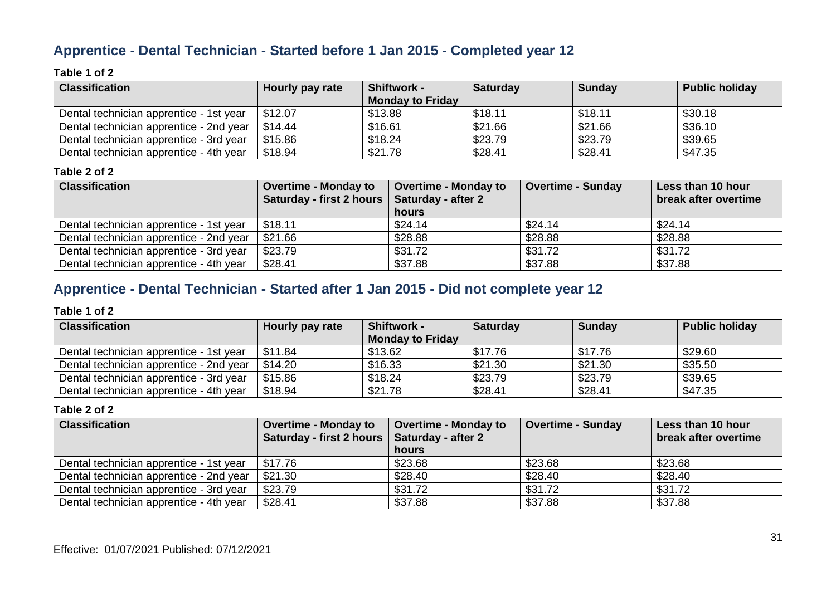### **Apprentice - Dental Technician - Started before 1 Jan 2015 - Completed year 12**

#### **Table 1 of 2**

| <b>Classification</b>                   | Hourly pay rate | <b>Shiftwork -</b>      | <b>Saturday</b> | <b>Sunday</b> | <b>Public holiday</b> |
|-----------------------------------------|-----------------|-------------------------|-----------------|---------------|-----------------------|
|                                         |                 | <b>Monday to Friday</b> |                 |               |                       |
| Dental technician apprentice - 1st year | \$12.07         | \$13.88                 | \$18.11         | \$18.11       | \$30.18               |
| Dental technician apprentice - 2nd year | \$14.44         | \$16.61                 | \$21.66         | \$21.66       | \$36.10               |
| Dental technician apprentice - 3rd year | \$15.86         | \$18.24                 | \$23.79         | \$23.79       | \$39.65               |
| Dental technician apprentice - 4th year | \$18.94         | \$21.78                 | \$28.41         | \$28.41       | \$47.35               |

#### **Table 2 of 2**

| <b>Classification</b>                   | <b>Overtime - Monday to</b><br>Saturday - first 2 hours   Saturday - after 2 | <b>Overtime - Monday to</b> | Overtime - Sunday | Less than 10 hour<br>break after overtime |
|-----------------------------------------|------------------------------------------------------------------------------|-----------------------------|-------------------|-------------------------------------------|
|                                         |                                                                              | hours                       |                   |                                           |
| Dental technician apprentice - 1st year | \$18.11                                                                      | \$24.14                     | \$24.14           | \$24.14                                   |
| Dental technician apprentice - 2nd year | \$21.66                                                                      | \$28.88                     | \$28.88           | \$28.88                                   |
| Dental technician apprentice - 3rd year | \$23.79                                                                      | \$31.72                     | \$31.72           | \$31.72                                   |
| Dental technician apprentice - 4th year | \$28.41                                                                      | \$37.88                     | \$37.88           | \$37.88                                   |

### **Apprentice - Dental Technician - Started after 1 Jan 2015 - Did not complete year 12**

#### **Table 1 of 2**

| <b>Classification</b>                   | Hourly pay rate | <b>Shiftwork -</b><br><b>Monday to Friday</b> | <b>Saturday</b> | <b>Sunday</b> | <b>Public holiday</b> |
|-----------------------------------------|-----------------|-----------------------------------------------|-----------------|---------------|-----------------------|
| Dental technician apprentice - 1st year | \$11.84         | \$13.62                                       | \$17.76         | \$17.76       | \$29.60               |
| Dental technician apprentice - 2nd year | \$14.20         | \$16.33                                       | \$21.30         | \$21.30       | \$35.50               |
| Dental technician apprentice - 3rd year | \$15.86         | \$18.24                                       | \$23.79         | \$23.79       | \$39.65               |
| Dental technician apprentice - 4th year | \$18.94         | \$21.78                                       | \$28.41         | \$28.41       | \$47.35               |

| <b>Classification</b>                   | <b>Overtime - Monday to</b>                   | <b>Overtime - Monday to</b> | <b>Overtime - Sunday</b> | Less than 10 hour    |
|-----------------------------------------|-----------------------------------------------|-----------------------------|--------------------------|----------------------|
|                                         | Saturday - first 2 hours   Saturday - after 2 |                             |                          | break after overtime |
|                                         |                                               | hours                       |                          |                      |
| Dental technician apprentice - 1st year | \$17.76                                       | \$23.68                     | \$23.68                  | \$23.68              |
| Dental technician apprentice - 2nd year | \$21.30                                       | \$28.40                     | \$28.40                  | \$28.40              |
| Dental technician apprentice - 3rd year | \$23.79                                       | \$31.72                     | \$31.72                  | \$31.72              |
| Dental technician apprentice - 4th year | \$28.41                                       | \$37.88                     | \$37.88                  | \$37.88              |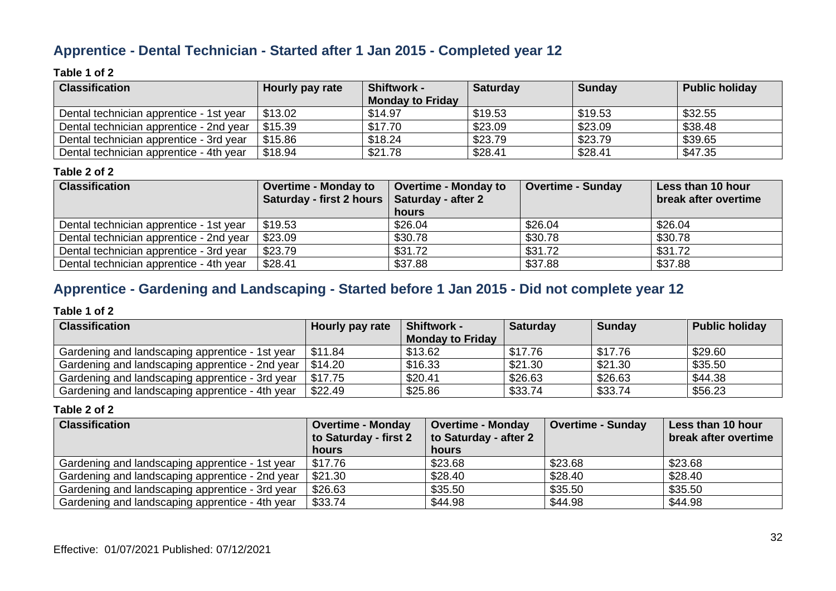### **Apprentice - Dental Technician - Started after 1 Jan 2015 - Completed year 12**

#### **Table 1 of 2**

| <b>Classification</b>                   | Hourly pay rate | <b>Shiftwork -</b><br><b>Monday to Friday</b> | <b>Saturday</b> | <b>Sunday</b> | <b>Public holiday</b> |
|-----------------------------------------|-----------------|-----------------------------------------------|-----------------|---------------|-----------------------|
| Dental technician apprentice - 1st year | \$13.02         | \$14.97                                       | \$19.53         | \$19.53       | \$32.55               |
| Dental technician apprentice - 2nd year | \$15.39         | \$17.70                                       | \$23.09         | \$23.09       | \$38.48               |
| Dental technician apprentice - 3rd year | \$15.86         | \$18.24                                       | \$23.79         | \$23.79       | \$39.65               |
| Dental technician apprentice - 4th year | \$18.94         | \$21.78                                       | \$28.41         | \$28.41       | \$47.35               |

#### **Table 2 of 2**

| <b>Classification</b>                   | <b>Overtime - Monday to</b>                   | <b>Overtime - Monday to</b> | <b>Overtime - Sunday</b> | Less than 10 hour    |
|-----------------------------------------|-----------------------------------------------|-----------------------------|--------------------------|----------------------|
|                                         | Saturday - first 2 hours   Saturday - after 2 | hours                       |                          | break after overtime |
| Dental technician apprentice - 1st year | \$19.53                                       | \$26.04                     | \$26.04                  | \$26.04              |
| Dental technician apprentice - 2nd year | \$23.09                                       | \$30.78                     | \$30.78                  | \$30.78              |
| Dental technician apprentice - 3rd year | \$23.79                                       | \$31.72                     | \$31.72                  | \$31.72              |
| Dental technician apprentice - 4th year | \$28.41                                       | \$37.88                     | \$37.88                  | \$37.88              |

# **Apprentice - Gardening and Landscaping - Started before 1 Jan 2015 - Did not complete year 12**

#### **Table 1 of 2**

| <b>Classification</b>                           | Hourly pay rate | <b>Shiftwork -</b>      | <b>Saturday</b> | <b>Sunday</b> | <b>Public holiday</b> |
|-------------------------------------------------|-----------------|-------------------------|-----------------|---------------|-----------------------|
|                                                 |                 | <b>Monday to Friday</b> |                 |               |                       |
| Gardening and landscaping apprentice - 1st year | \$11.84         | \$13.62                 | \$17.76         | \$17.76       | \$29.60               |
| Gardening and landscaping apprentice - 2nd year | \$14.20         | \$16.33                 | \$21.30         | \$21.30       | \$35.50               |
| Gardening and landscaping apprentice - 3rd year | \$17.75         | \$20.41                 | \$26.63         | \$26.63       | \$44.38               |
| Gardening and landscaping apprentice - 4th year | \$22.49         | \$25.86                 | \$33.74         | \$33.74       | \$56.23               |

| <b>Classification</b>                           | <b>Overtime - Monday</b> | <b>Overtime - Monday</b> | <b>Overtime - Sunday</b> | Less than 10 hour    |
|-------------------------------------------------|--------------------------|--------------------------|--------------------------|----------------------|
|                                                 | to Saturday - first 2    | to Saturday - after 2    |                          | break after overtime |
|                                                 | <b>hours</b>             | hours                    |                          |                      |
| Gardening and landscaping apprentice - 1st year | \$17.76                  | \$23.68                  | \$23.68                  | \$23.68              |
| Gardening and landscaping apprentice - 2nd year | \$21.30                  | \$28.40                  | \$28.40                  | \$28.40              |
| Gardening and landscaping apprentice - 3rd year | \$26.63                  | \$35.50                  | \$35.50                  | \$35.50              |
| Gardening and landscaping apprentice - 4th year | \$33.74                  | \$44.98                  | \$44.98                  | \$44.98              |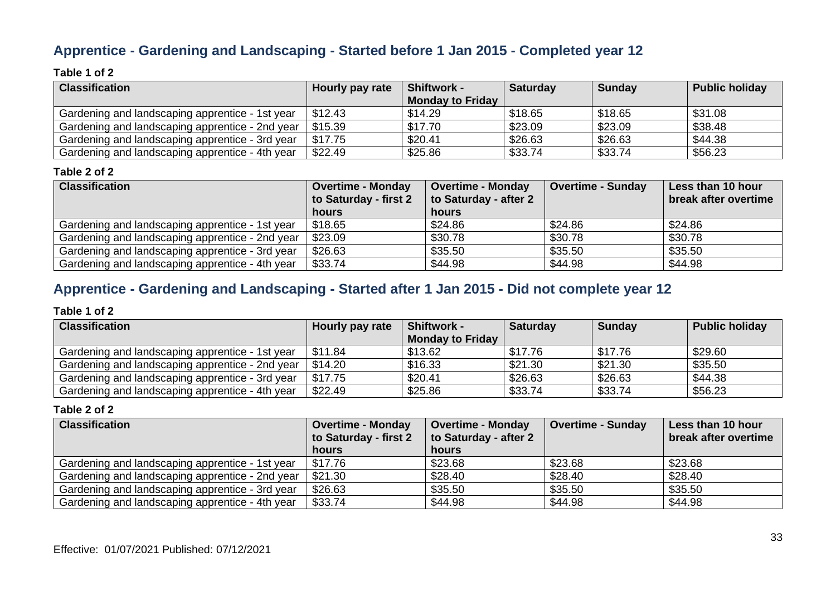### **Apprentice - Gardening and Landscaping - Started before 1 Jan 2015 - Completed year 12**

#### **Table 1 of 2**

| <b>Classification</b>                           | Hourly pay rate | <b>Shiftwork -</b>      | <b>Saturday</b> | <b>Sunday</b> | <b>Public holiday</b> |
|-------------------------------------------------|-----------------|-------------------------|-----------------|---------------|-----------------------|
|                                                 |                 | <b>Monday to Friday</b> |                 |               |                       |
| Gardening and landscaping apprentice - 1st year | \$12.43         | \$14.29                 | \$18.65         | \$18.65       | \$31.08               |
| Gardening and landscaping apprentice - 2nd year | \$15.39         | \$17.70                 | \$23.09         | \$23.09       | \$38.48               |
| Gardening and landscaping apprentice - 3rd year | \$17.75         | \$20.41                 | \$26.63         | \$26.63       | \$44.38               |
| Gardening and landscaping apprentice - 4th year | \$22.49         | \$25.86                 | \$33.74         | \$33.74       | \$56.23               |

#### **Table 2 of 2**

| <b>Classification</b>                           | <b>Overtime - Monday</b> | <b>Overtime - Monday</b> | <b>Overtime - Sunday</b> | Less than 10 hour    |
|-------------------------------------------------|--------------------------|--------------------------|--------------------------|----------------------|
|                                                 | to Saturday - first 2    | to Saturday - after 2    |                          | break after overtime |
|                                                 | hours                    | hours                    |                          |                      |
| Gardening and landscaping apprentice - 1st year | \$18.65                  | \$24.86                  | \$24.86                  | \$24.86              |
| Gardening and landscaping apprentice - 2nd year | \$23.09                  | \$30.78                  | \$30.78                  | \$30.78              |
| Gardening and landscaping apprentice - 3rd year | \$26.63                  | \$35.50                  | \$35.50                  | \$35.50              |
| Gardening and landscaping apprentice - 4th year | \$33.74                  | \$44.98                  | \$44.98                  | \$44.98              |

### **Apprentice - Gardening and Landscaping - Started after 1 Jan 2015 - Did not complete year 12**

#### **Table 1 of 2**

| <b>Classification</b>                           | Hourly pay rate | <b>Shiftwork -</b>      | <b>Saturday</b> | Sunday  | <b>Public holiday</b> |
|-------------------------------------------------|-----------------|-------------------------|-----------------|---------|-----------------------|
|                                                 |                 | <b>Monday to Friday</b> |                 |         |                       |
| Gardening and landscaping apprentice - 1st year | \$11.84         | \$13.62                 | \$17.76         | \$17.76 | \$29.60               |
| Gardening and landscaping apprentice - 2nd year | \$14.20         | \$16.33                 | \$21.30         | \$21.30 | \$35.50               |
| Gardening and landscaping apprentice - 3rd year | \$17.75         | \$20.41                 | \$26.63         | \$26.63 | \$44.38               |
| Gardening and landscaping apprentice - 4th year | \$22.49         | \$25.86                 | \$33.74         | \$33.74 | \$56.23               |

| <b>Classification</b>                           | <b>Overtime - Monday</b> | <b>Overtime - Monday</b> | Overtime - Sunday | Less than 10 hour    |
|-------------------------------------------------|--------------------------|--------------------------|-------------------|----------------------|
|                                                 | to Saturday - first 2    | to Saturday - after 2    |                   | break after overtime |
|                                                 | <b>hours</b>             | hours                    |                   |                      |
| Gardening and landscaping apprentice - 1st year | \$17.76                  | \$23.68                  | \$23.68           | \$23.68              |
| Gardening and landscaping apprentice - 2nd year | \$21.30                  | \$28.40                  | \$28.40           | \$28.40              |
| Gardening and landscaping apprentice - 3rd year | \$26.63                  | \$35.50                  | \$35.50           | \$35.50              |
| Gardening and landscaping apprentice - 4th year | \$33.74                  | \$44.98                  | \$44.98           | \$44.98              |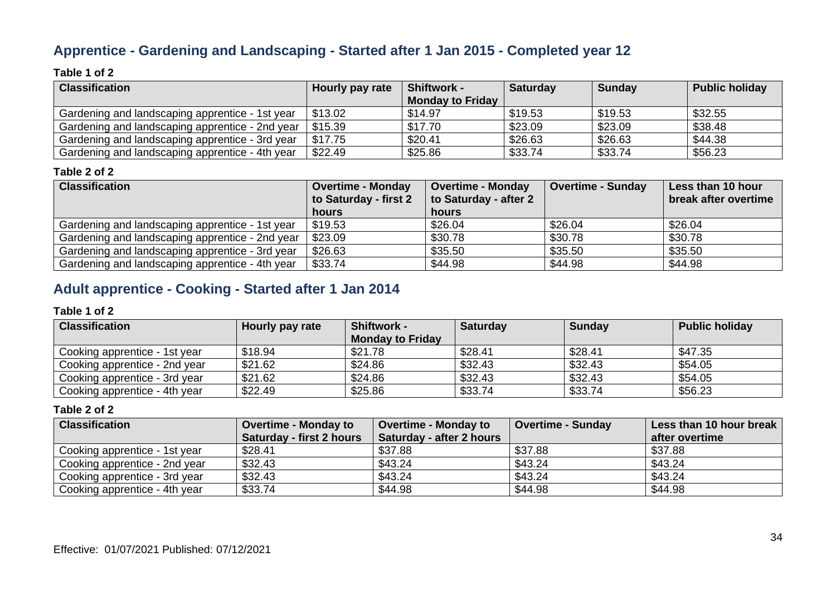### **Apprentice - Gardening and Landscaping - Started after 1 Jan 2015 - Completed year 12**

#### **Table 1 of 2**

| <b>Classification</b>                           | Hourly pay rate | <b>Shiftwork -</b>      | <b>Saturday</b> | <b>Sunday</b> | <b>Public holiday</b> |
|-------------------------------------------------|-----------------|-------------------------|-----------------|---------------|-----------------------|
|                                                 |                 | <b>Monday to Friday</b> |                 |               |                       |
| Gardening and landscaping apprentice - 1st year | \$13.02         | \$14.97                 | \$19.53         | \$19.53       | \$32.55               |
| Gardening and landscaping apprentice - 2nd year | \$15.39         | \$17.70                 | \$23.09         | \$23.09       | \$38.48               |
| Gardening and landscaping apprentice - 3rd year | \$17.75         | \$20.41                 | \$26.63         | \$26.63       | \$44.38               |
| Gardening and landscaping apprentice - 4th year | \$22.49         | \$25.86                 | \$33.74         | \$33.74       | \$56.23               |

#### **Table 2 of 2**

| <b>Classification</b>                           | <b>Overtime - Monday</b> | <b>Overtime - Monday</b> | <b>Overtime - Sunday</b> | Less than 10 hour    |
|-------------------------------------------------|--------------------------|--------------------------|--------------------------|----------------------|
|                                                 | to Saturday - first 2    | to Saturday - after 2    |                          | break after overtime |
|                                                 | hours                    | hours                    |                          |                      |
| Gardening and landscaping apprentice - 1st year | \$19.53                  | \$26.04                  | \$26.04                  | \$26.04              |
| Gardening and landscaping apprentice - 2nd year | \$23.09                  | \$30.78                  | \$30.78                  | \$30.78              |
| Gardening and landscaping apprentice - 3rd year | \$26.63                  | \$35.50                  | \$35.50                  | \$35.50              |
| Gardening and landscaping apprentice - 4th year | \$33.74                  | \$44.98                  | \$44.98                  | \$44.98              |

### **Adult apprentice - Cooking - Started after 1 Jan 2014**

#### **Table 1 of 2**

| <b>Classification</b>         | Hourly pay rate | <b>Shiftwork -</b>      | <b>Saturday</b> | <b>Sunday</b> | <b>Public holiday</b> |
|-------------------------------|-----------------|-------------------------|-----------------|---------------|-----------------------|
|                               |                 | <b>Monday to Friday</b> |                 |               |                       |
| Cooking apprentice - 1st year | \$18.94         | \$21.78                 | \$28.41         | \$28.41       | \$47.35               |
| Cooking apprentice - 2nd year | \$21.62         | \$24.86                 | \$32.43         | \$32.43       | \$54.05               |
| Cooking apprentice - 3rd year | \$21.62         | \$24.86                 | \$32.43         | \$32.43       | \$54.05               |
| Cooking apprentice - 4th year | \$22.49         | \$25.86                 | \$33.74         | \$33.74       | \$56.23               |

| <b>Classification</b>         | <b>Overtime - Monday to</b> | <b>Overtime - Monday to</b> | <b>Overtime - Sunday</b> | Less than 10 hour break |
|-------------------------------|-----------------------------|-----------------------------|--------------------------|-------------------------|
|                               | Saturday - first 2 hours    | Saturday - after 2 hours    |                          | after overtime          |
| Cooking apprentice - 1st year | \$28.41                     | \$37.88                     | \$37.88                  | \$37.88                 |
| Cooking apprentice - 2nd year | \$32.43                     | \$43.24                     | \$43.24                  | \$43.24                 |
| Cooking apprentice - 3rd year | \$32.43                     | \$43.24                     | \$43.24                  | \$43.24                 |
| Cooking apprentice - 4th year | \$33.74                     | \$44.98                     | \$44.98                  | \$44.98                 |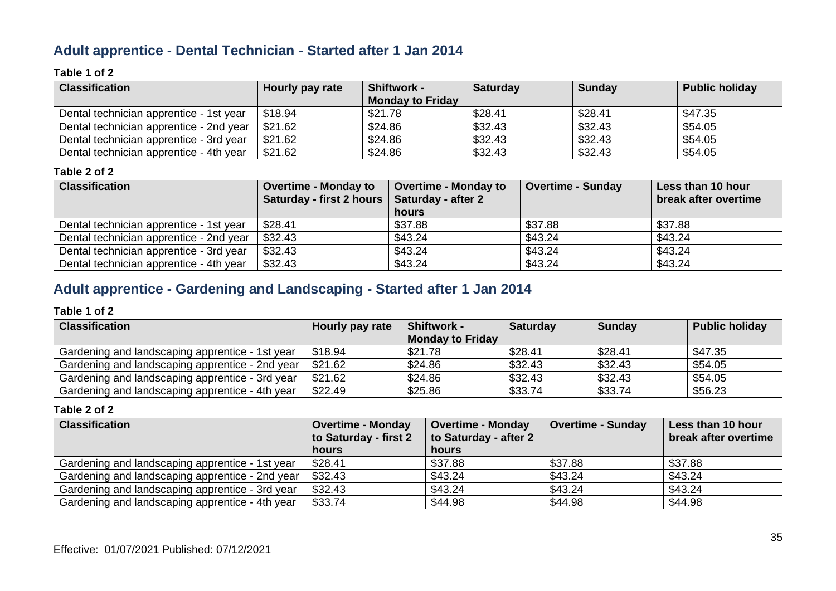### **Adult apprentice - Dental Technician - Started after 1 Jan 2014**

#### **Table 1 of 2**

| <b>Classification</b>                   | Hourly pay rate | <b>Shiftwork -</b>      | <b>Saturday</b> | <b>Sunday</b> | <b>Public holiday</b> |
|-----------------------------------------|-----------------|-------------------------|-----------------|---------------|-----------------------|
|                                         |                 | <b>Monday to Friday</b> |                 |               |                       |
| Dental technician apprentice - 1st year | \$18.94         | \$21.78                 | \$28.41         | \$28.41       | \$47.35               |
| Dental technician apprentice - 2nd year | \$21.62         | \$24.86                 | \$32.43         | \$32.43       | \$54.05               |
| Dental technician apprentice - 3rd year | \$21.62         | \$24.86                 | \$32.43         | \$32.43       | \$54.05               |
| Dental technician apprentice - 4th year | \$21.62         | \$24.86                 | \$32.43         | \$32.43       | \$54.05               |

#### **Table 2 of 2**

| <b>Classification</b>                   | <b>Overtime - Monday to</b>                   | <b>Overtime - Monday to</b> | <b>Overtime - Sunday</b> | Less than 10 hour    |
|-----------------------------------------|-----------------------------------------------|-----------------------------|--------------------------|----------------------|
|                                         | Saturday - first 2 hours   Saturday - after 2 |                             |                          | break after overtime |
|                                         |                                               | hours                       |                          |                      |
| Dental technician apprentice - 1st year | \$28.41                                       | \$37.88                     | \$37.88                  | \$37.88              |
| Dental technician apprentice - 2nd year | \$32.43                                       | \$43.24                     | \$43.24                  | \$43.24              |
| Dental technician apprentice - 3rd year | \$32.43                                       | \$43.24                     | \$43.24                  | \$43.24              |
| Dental technician apprentice - 4th year | \$32.43                                       | \$43.24                     | \$43.24                  | \$43.24              |

### **Adult apprentice - Gardening and Landscaping - Started after 1 Jan 2014**

#### **Table 1 of 2**

| <b>Classification</b>                           | Hourly pay rate | <b>Shiftwork -</b>      | <b>Saturday</b> | Sunday  | <b>Public holiday</b> |
|-------------------------------------------------|-----------------|-------------------------|-----------------|---------|-----------------------|
|                                                 |                 | <b>Monday to Friday</b> |                 |         |                       |
| Gardening and landscaping apprentice - 1st year | \$18.94         | \$21.78                 | \$28.41         | \$28.41 | \$47.35               |
| Gardening and landscaping apprentice - 2nd year | \$21.62         | \$24.86                 | \$32.43         | \$32.43 | \$54.05               |
| Gardening and landscaping apprentice - 3rd year | \$21.62         | \$24.86                 | \$32.43         | \$32.43 | \$54.05               |
| Gardening and landscaping apprentice - 4th year | \$22.49         | \$25.86                 | \$33.74         | \$33.74 | \$56.23               |

| <b>Classification</b>                           | <b>Overtime - Monday</b> | <b>Overtime - Monday</b> | <b>Overtime - Sunday</b> | Less than 10 hour    |
|-------------------------------------------------|--------------------------|--------------------------|--------------------------|----------------------|
|                                                 | to Saturday - first 2    | to Saturday - after 2    |                          | break after overtime |
|                                                 | <b>hours</b>             | <b>hours</b>             |                          |                      |
| Gardening and landscaping apprentice - 1st year | \$28.41                  | \$37.88                  | \$37.88                  | \$37.88              |
| Gardening and landscaping apprentice - 2nd year | \$32.43                  | \$43.24                  | \$43.24                  | \$43.24              |
| Gardening and landscaping apprentice - 3rd year | \$32.43                  | \$43.24                  | \$43.24                  | \$43.24              |
| Gardening and landscaping apprentice - 4th year | \$33.74                  | \$44.98                  | \$44.98                  | \$44.98              |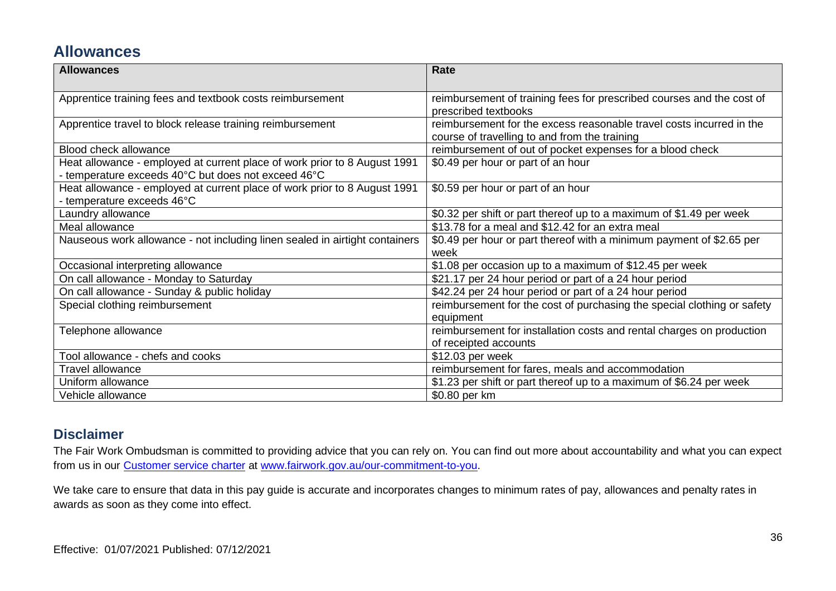### **Allowances**

| <b>Allowances</b>                                                                                                                | Rate                                                                                                                  |
|----------------------------------------------------------------------------------------------------------------------------------|-----------------------------------------------------------------------------------------------------------------------|
| Apprentice training fees and textbook costs reimbursement                                                                        | reimbursement of training fees for prescribed courses and the cost of<br>prescribed textbooks                         |
| Apprentice travel to block release training reimbursement                                                                        | reimbursement for the excess reasonable travel costs incurred in the<br>course of travelling to and from the training |
| <b>Blood check allowance</b>                                                                                                     | reimbursement of out of pocket expenses for a blood check                                                             |
| Heat allowance - employed at current place of work prior to 8 August 1991<br>- temperature exceeds 40°C but does not exceed 46°C | \$0.49 per hour or part of an hour                                                                                    |
| Heat allowance - employed at current place of work prior to 8 August 1991<br>- temperature exceeds 46°C                          | \$0.59 per hour or part of an hour                                                                                    |
| Laundry allowance                                                                                                                | \$0.32 per shift or part thereof up to a maximum of \$1.49 per week                                                   |
| Meal allowance                                                                                                                   | \$13.78 for a meal and \$12.42 for an extra meal                                                                      |
| Nauseous work allowance - not including linen sealed in airtight containers                                                      | \$0.49 per hour or part thereof with a minimum payment of \$2.65 per<br>week                                          |
| Occasional interpreting allowance                                                                                                | \$1.08 per occasion up to a maximum of \$12.45 per week                                                               |
| On call allowance - Monday to Saturday                                                                                           | \$21.17 per 24 hour period or part of a 24 hour period                                                                |
| On call allowance - Sunday & public holiday                                                                                      | \$42.24 per 24 hour period or part of a 24 hour period                                                                |
| Special clothing reimbursement                                                                                                   | reimbursement for the cost of purchasing the special clothing or safety<br>equipment                                  |
| Telephone allowance                                                                                                              | reimbursement for installation costs and rental charges on production<br>of receipted accounts                        |
| Tool allowance - chefs and cooks                                                                                                 | \$12.03 per week                                                                                                      |
| <b>Travel allowance</b>                                                                                                          | reimbursement for fares, meals and accommodation                                                                      |
| Uniform allowance                                                                                                                | \$1.23 per shift or part thereof up to a maximum of \$6.24 per week                                                   |
| Vehicle allowance                                                                                                                | \$0.80 per km                                                                                                         |

#### **Disclaimer**

The Fair Work Ombudsman is committed to providing advice that you can rely on. You can find out more about accountability and what you can expect from us in our [Customer service charter](https://www.fairwork.gov.au/about-us/our-role-and-purpose/our-priorities/our-commitment-to-you#customer-service-charter) at [www.fairwork.gov.au/our-commitment-to-you.](http://www.fairwork.gov.au/our-commitment-to-you)

We take care to ensure that data in this pay guide is accurate and incorporates changes to minimum rates of pay, allowances and penalty rates in awards as soon as they come into effect.